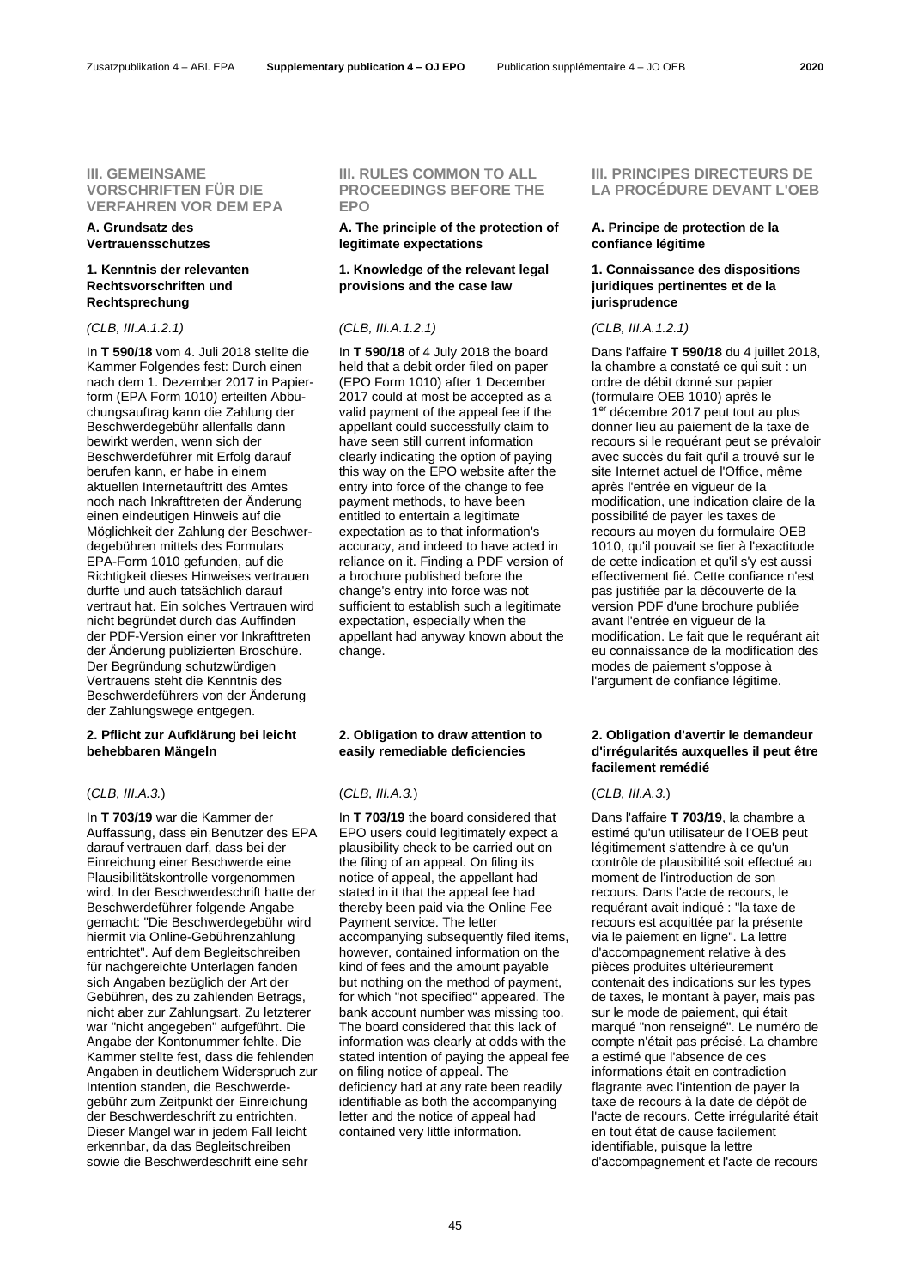### **III. GEMEINSAME VORSCHRIFTEN FÜR DIE VERFAHREN VOR DEM EPA**

# **A. Grundsatz des Vertrauensschutzes**

### **1. Kenntnis der relevanten Rechtsvorschriften und Rechtsprechung**

In **T 590/18** vom 4. Juli 2018 stellte die Kammer Folgendes fest: Durch einen nach dem 1. Dezember 2017 in Papierform (EPA Form 1010) erteilten Abbuchungsauftrag kann die Zahlung der Beschwerdegebühr allenfalls dann bewirkt werden, wenn sich der Beschwerdeführer mit Erfolg darauf berufen kann, er habe in einem aktuellen Internetauftritt des Amtes noch nach Inkrafttreten der Änderung einen eindeutigen Hinweis auf die Möglichkeit der Zahlung der Beschwerdegebühren mittels des Formulars EPA-Form 1010 gefunden, auf die Richtigkeit dieses Hinweises vertrauen durfte und auch tatsächlich darauf vertraut hat. Ein solches Vertrauen wird nicht begründet durch das Auffinden der PDF-Version einer vor Inkrafttreten der Änderung publizierten Broschüre. Der Begründung schutzwürdigen Vertrauens steht die Kenntnis des Beschwerdeführers von der Änderung der Zahlungswege entgegen.

# **2. Pflicht zur Aufklärung bei leicht behebbaren Mängeln**

# (*CLB, III.A.3.*) (*CLB, III.A.3.*) (*CLB, III.A.3.*)

In **T 703/19** war die Kammer der Auffassung, dass ein Benutzer des EPA darauf vertrauen darf, dass bei der Einreichung einer Beschwerde eine Plausibilitätskontrolle vorgenommen wird. In der Beschwerdeschrift hatte der Beschwerdeführer folgende Angabe gemacht: "Die Beschwerdegebühr wird hiermit via Online-Gebührenzahlung entrichtet". Auf dem Begleitschreiben für nachgereichte Unterlagen fanden sich Angaben bezüglich der Art der Gebühren, des zu zahlenden Betrags, nicht aber zur Zahlungsart. Zu letzterer war "nicht angegeben" aufgeführt. Die Angabe der Kontonummer fehlte. Die Kammer stellte fest, dass die fehlenden Angaben in deutlichem Widerspruch zur Intention standen, die Beschwerdegebühr zum Zeitpunkt der Einreichung der Beschwerdeschrift zu entrichten. Dieser Mangel war in jedem Fall leicht erkennbar, da das Begleitschreiben sowie die Beschwerdeschrift eine sehr

# **III. RULES COMMON TO ALL PROCEEDINGS BEFORE THE EPO**

# **A. The principle of the protection of legitimate expectations**

### **1. Knowledge of the relevant legal provisions and the case law**

### *(CLB, III.A.1.2.1) (CLB, III.A.1.2.1) (CLB, III.A.1.2.1)*

In **T 590/18** of 4 July 2018 the board held that a debit order filed on paper (EPO Form 1010) after 1 December 2017 could at most be accepted as a valid payment of the appeal fee if the appellant could successfully claim to have seen still current information clearly indicating the option of paying this way on the EPO website after the entry into force of the change to fee payment methods, to have been entitled to entertain a legitimate expectation as to that information's accuracy, and indeed to have acted in reliance on it. Finding a PDF version of a brochure published before the change's entry into force was not sufficient to establish such a legitimate expectation, especially when the appellant had anyway known about the change.

### **2. Obligation to draw attention to easily remediable deficiencies**

In **T 703/19** the board considered that EPO users could legitimately expect a plausibility check to be carried out on the filing of an appeal. On filing its notice of appeal, the appellant had stated in it that the appeal fee had thereby been paid via the Online Fee Payment service. The letter accompanying subsequently filed items, however, contained information on the kind of fees and the amount payable but nothing on the method of payment, for which "not specified" appeared. The bank account number was missing too. The board considered that this lack of information was clearly at odds with the stated intention of paying the appeal fee on filing notice of appeal. The deficiency had at any rate been readily identifiable as both the accompanying letter and the notice of appeal had contained very little information.

# **III. PRINCIPES DIRECTEURS DE LA PROCÉDURE DEVANT L'OEB**

# **A. Principe de protection de la confiance légitime**

# **1. Connaissance des dispositions juridiques pertinentes et de la jurisprudence**

Dans l'affaire **T 590/18** du 4 juillet 2018, la chambre a constaté ce qui suit : un ordre de débit donné sur papier (formulaire OEB 1010) après le 1<sup>er</sup> décembre 2017 peut tout au plus donner lieu au paiement de la taxe de recours si le requérant peut se prévaloir avec succès du fait qu'il a trouvé sur le site Internet actuel de l'Office, même après l'entrée en vigueur de la modification, une indication claire de la possibilité de payer les taxes de recours au moyen du formulaire OEB 1010, qu'il pouvait se fier à l'exactitude de cette indication et qu'il s'y est aussi effectivement fié. Cette confiance n'est pas justifiée par la découverte de la version PDF d'une brochure publiée avant l'entrée en vigueur de la modification. Le fait que le requérant ait eu connaissance de la modification des modes de paiement s'oppose à l'argument de confiance légitime.

# **2. Obligation d'avertir le demandeur d'irrégularités auxquelles il peut être facilement remédié**

Dans l'affaire **T 703/19**, la chambre a estimé qu'un utilisateur de l'OEB peut légitimement s'attendre à ce qu'un contrôle de plausibilité soit effectué au moment de l'introduction de son recours. Dans l'acte de recours, le requérant avait indiqué : "la taxe de recours est acquittée par la présente via le paiement en ligne". La lettre d'accompagnement relative à des pièces produites ultérieurement contenait des indications sur les types de taxes, le montant à payer, mais pas sur le mode de paiement, qui était marqué "non renseigné". Le numéro de compte n'était pas précisé. La chambre a estimé que l'absence de ces informations était en contradiction flagrante avec l'intention de payer la taxe de recours à la date de dépôt de l'acte de recours. Cette irrégularité était en tout état de cause facilement identifiable, puisque la lettre d'accompagnement et l'acte de recours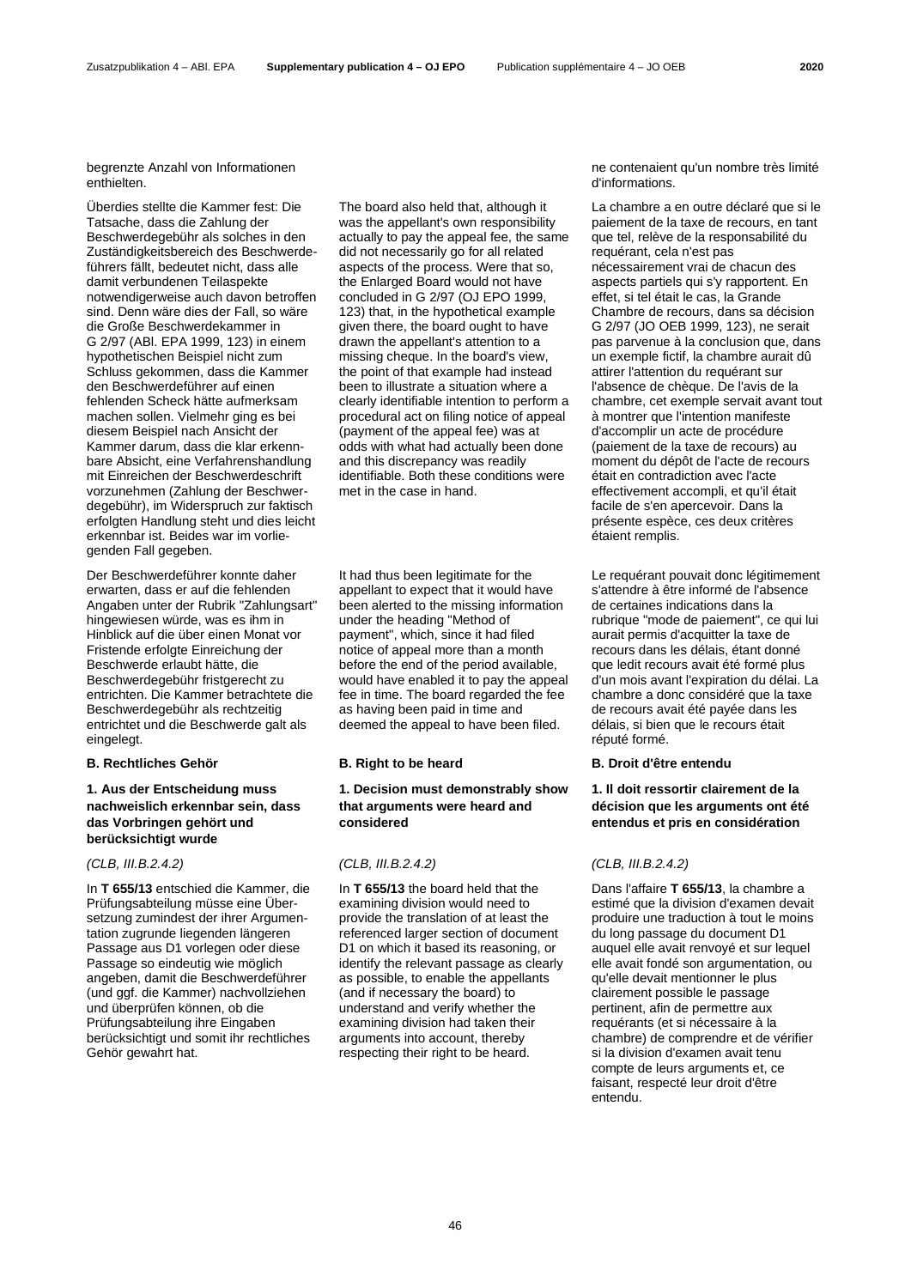begrenzte Anzahl von Informationen enthielten.

Überdies stellte die Kammer fest: Die Tatsache, dass die Zahlung der Beschwerdegebühr als solches in den Zuständigkeitsbereich des Beschwerdeführers fällt, bedeutet nicht, dass alle damit verbundenen Teilaspekte notwendigerweise auch davon betroffen sind. Denn wäre dies der Fall, so wäre die Große Beschwerdekammer in G 2/97 (ABl. EPA 1999, 123) in einem hypothetischen Beispiel nicht zum Schluss gekommen, dass die Kammer den Beschwerdeführer auf einen fehlenden Scheck hätte aufmerksam machen sollen. Vielmehr ging es bei diesem Beispiel nach Ansicht der Kammer darum, dass die klar erkennbare Absicht, eine Verfahrenshandlung mit Einreichen der Beschwerdeschrift vorzunehmen (Zahlung der Beschwerdegebühr), im Widerspruch zur faktisch erfolgten Handlung steht und dies leicht erkennbar ist. Beides war im vorliegenden Fall gegeben.

Der Beschwerdeführer konnte daher erwarten, dass er auf die fehlenden Angaben unter der Rubrik "Zahlungsart" hingewiesen würde, was es ihm in Hinblick auf die über einen Monat vor Fristende erfolgte Einreichung der Beschwerde erlaubt hätte, die Beschwerdegebühr fristgerecht zu entrichten. Die Kammer betrachtete die Beschwerdegebühr als rechtzeitig entrichtet und die Beschwerde galt als eingelegt.

## **B. Rechtliches Gehör B. Right to be heard B. Droit d'être entendu**

### **1. Aus der Entscheidung muss nachweislich erkennbar sein, dass das Vorbringen gehört und berücksichtigt wurde**

In **T 655/13** entschied die Kammer, die Prüfungsabteilung müsse eine Übersetzung zumindest der ihrer Argumentation zugrunde liegenden längeren Passage aus D1 vorlegen oder diese Passage so eindeutig wie möglich angeben, damit die Beschwerdeführer (und ggf. die Kammer) nachvollziehen und überprüfen können, ob die Prüfungsabteilung ihre Eingaben berücksichtigt und somit ihr rechtliches Gehör gewahrt hat.

The board also held that, although it was the appellant's own responsibility actually to pay the appeal fee, the same did not necessarily go for all related aspects of the process. Were that so, the Enlarged Board would not have concluded in G 2/97 (OJ EPO 1999, 123) that, in the hypothetical example given there, the board ought to have drawn the appellant's attention to a missing cheque. In the board's view, the point of that example had instead been to illustrate a situation where a clearly identifiable intention to perform a procedural act on filing notice of appeal (payment of the appeal fee) was at odds with what had actually been done and this discrepancy was readily identifiable. Both these conditions were met in the case in hand.

It had thus been legitimate for the appellant to expect that it would have been alerted to the missing information under the heading "Method of payment", which, since it had filed notice of appeal more than a month before the end of the period available, would have enabled it to pay the appeal fee in time. The board regarded the fee as having been paid in time and deemed the appeal to have been filed.

# **1. Decision must demonstrably show that arguments were heard and considered**

In **T 655/13** the board held that the examining division would need to provide the translation of at least the referenced larger section of document D1 on which it based its reasoning, or identify the relevant passage as clearly as possible, to enable the appellants (and if necessary the board) to understand and verify whether the examining division had taken their arguments into account, thereby respecting their right to be heard.

ne contenaient qu'un nombre très limité d'informations.

La chambre a en outre déclaré que si le paiement de la taxe de recours, en tant que tel, relève de la responsabilité du requérant, cela n'est pas nécessairement vrai de chacun des aspects partiels qui s'y rapportent. En effet, si tel était le cas, la Grande Chambre de recours, dans sa décision G 2/97 (JO OEB 1999, 123), ne serait pas parvenue à la conclusion que, dans un exemple fictif, la chambre aurait dû attirer l'attention du requérant sur l'absence de chèque. De l'avis de la chambre, cet exemple servait avant tout à montrer que l'intention manifeste d'accomplir un acte de procédure (paiement de la taxe de recours) au moment du dépôt de l'acte de recours était en contradiction avec l'acte effectivement accompli, et qu'il était facile de s'en apercevoir. Dans la présente espèce, ces deux critères étaient remplis.

Le requérant pouvait donc légitimement s'attendre à être informé de l'absence de certaines indications dans la rubrique "mode de paiement", ce qui lui aurait permis d'acquitter la taxe de recours dans les délais, étant donné que ledit recours avait été formé plus d'un mois avant l'expiration du délai. La chambre a donc considéré que la taxe de recours avait été payée dans les délais, si bien que le recours était réputé formé.

### **1. Il doit ressortir clairement de la décision que les arguments ont été entendus et pris en considération**

### *(CLB, III.B.2.4.2) (CLB, III.B.2.4.2) (CLB, III.B.2.4.2)*

Dans l'affaire **T 655/13**, la chambre a estimé que la division d'examen devait produire une traduction à tout le moins du long passage du document D1 auquel elle avait renvoyé et sur lequel elle avait fondé son argumentation, ou qu'elle devait mentionner le plus clairement possible le passage pertinent, afin de permettre aux requérants (et si nécessaire à la chambre) de comprendre et de vérifier si la division d'examen avait tenu compte de leurs arguments et, ce faisant, respecté leur droit d'être entendu.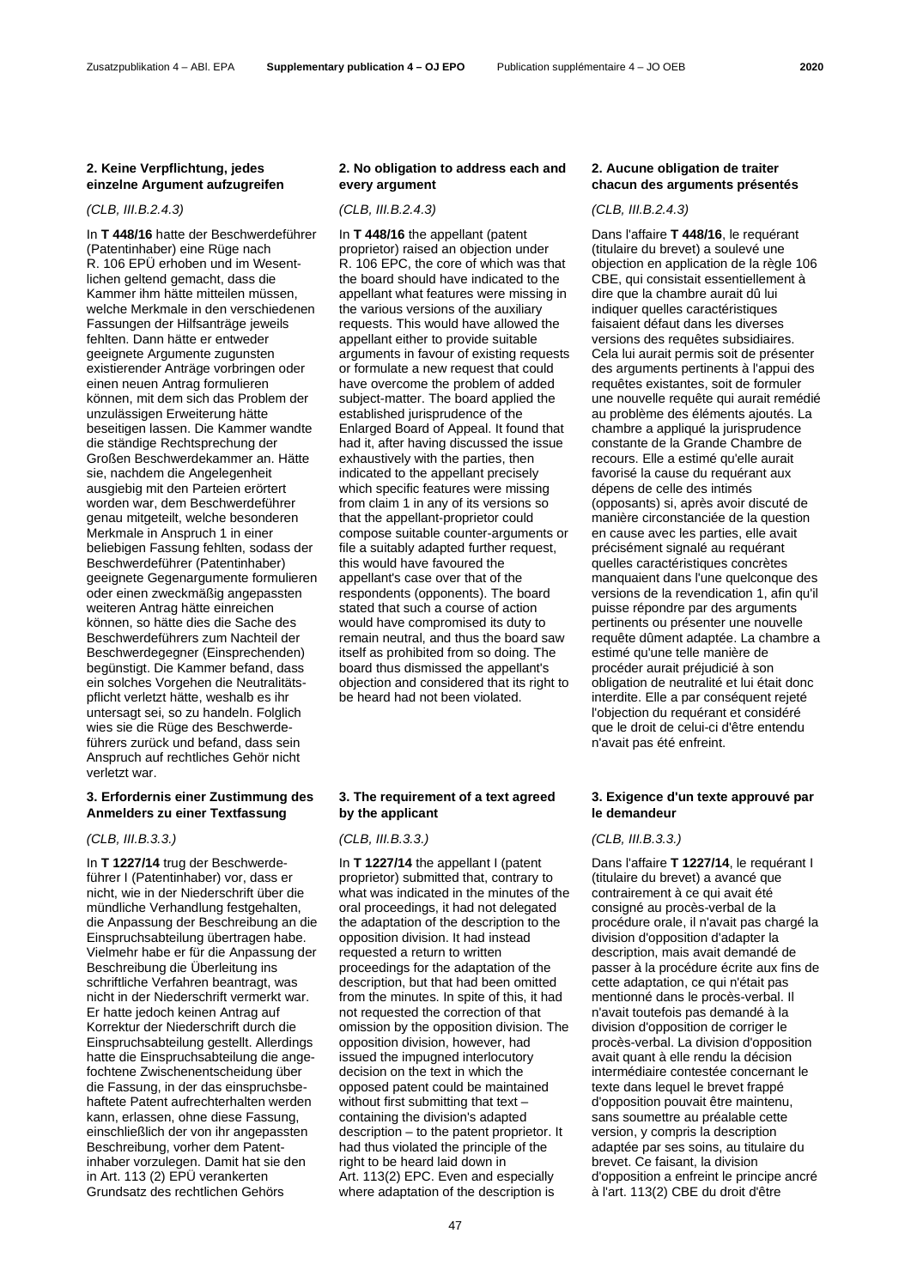### Zusatzpublikation 4 – ABl. EPA **Supplementary publication 4 – OJ EPO** Publication supplémentaire 4 – JO OEB **2020**

### **2. Keine Verpflichtung, jedes einzelne Argument aufzugreifen**

### *(CLB, III.B.2.4.3) (CLB, III.B.2.4.3) (CLB, III.B.2.4.3)*

In **T 448/16** hatte der Beschwerdeführer (Patentinhaber) eine Rüge nach R. 106 EPÜ erhoben und im Wesentlichen geltend gemacht, dass die Kammer ihm hätte mitteilen müssen, welche Merkmale in den verschiedenen Fassungen der Hilfsanträge jeweils fehlten. Dann hätte er entweder geeignete Argumente zugunsten existierender Anträge vorbringen oder einen neuen Antrag formulieren können, mit dem sich das Problem der unzulässigen Erweiterung hätte beseitigen lassen. Die Kammer wandte die ständige Rechtsprechung der Großen Beschwerdekammer an. Hätte sie, nachdem die Angelegenheit ausgiebig mit den Parteien erörtert worden war, dem Beschwerdeführer genau mitgeteilt, welche besonderen Merkmale in Anspruch 1 in einer beliebigen Fassung fehlten, sodass der Beschwerdeführer (Patentinhaber) geeignete Gegenargumente formulieren oder einen zweckmäßig angepassten weiteren Antrag hätte einreichen können, so hätte dies die Sache des Beschwerdeführers zum Nachteil der Beschwerdegegner (Einsprechenden) begünstigt. Die Kammer befand, dass ein solches Vorgehen die Neutralitätspflicht verletzt hätte, weshalb es ihr untersagt sei, so zu handeln. Folglich wies sie die Rüge des Beschwerdeführers zurück und befand, dass sein Anspruch auf rechtliches Gehör nicht verletzt war.

### **3. Erfordernis einer Zustimmung des Anmelders zu einer Textfassung**

### *(CLB, III.B.3.3.) (CLB, III.B.3.3.) (CLB, III.B.3.3.)*

In **T 1227/14** trug der Beschwerdeführer I (Patentinhaber) vor, dass er nicht, wie in der Niederschrift über die mündliche Verhandlung festgehalten, die Anpassung der Beschreibung an die Einspruchsabteilung übertragen habe. Vielmehr habe er für die Anpassung der Beschreibung die Überleitung ins schriftliche Verfahren beantragt, was nicht in der Niederschrift vermerkt war. Er hatte jedoch keinen Antrag auf Korrektur der Niederschrift durch die Einspruchsabteilung gestellt. Allerdings hatte die Einspruchsabteilung die angefochtene Zwischenentscheidung über die Fassung, in der das einspruchsbehaftete Patent aufrechterhalten werden kann, erlassen, ohne diese Fassung, einschließlich der von ihr angepassten Beschreibung, vorher dem Patentinhaber vorzulegen. Damit hat sie den in Art. 113 (2) EPÜ verankerten Grundsatz des rechtlichen Gehörs

### **2. No obligation to address each and every argument**

In **T 448/16** the appellant (patent proprietor) raised an objection under R. 106 EPC, the core of which was that the board should have indicated to the appellant what features were missing in the various versions of the auxiliary requests. This would have allowed the appellant either to provide suitable arguments in favour of existing requests or formulate a new request that could have overcome the problem of added subject-matter. The board applied the established jurisprudence of the Enlarged Board of Appeal. It found that had it, after having discussed the issue exhaustively with the parties, then indicated to the appellant precisely which specific features were missing from claim 1 in any of its versions so that the appellant-proprietor could compose suitable counter-arguments or file a suitably adapted further request, this would have favoured the appellant's case over that of the respondents (opponents). The board stated that such a course of action would have compromised its duty to remain neutral, and thus the board saw itself as prohibited from so doing. The board thus dismissed the appellant's objection and considered that its right to be heard had not been violated.

### **3. The requirement of a text agreed by the applicant**

In **T 1227/14** the appellant I (patent proprietor) submitted that, contrary to what was indicated in the minutes of the oral proceedings, it had not delegated the adaptation of the description to the opposition division. It had instead requested a return to written proceedings for the adaptation of the description, but that had been omitted from the minutes. In spite of this, it had not requested the correction of that omission by the opposition division. The opposition division, however, had issued the impugned interlocutory decision on the text in which the opposed patent could be maintained without first submitting that text – containing the division's adapted description – to the patent proprietor. It had thus violated the principle of the right to be heard laid down in Art. 113(2) EPC. Even and especially where adaptation of the description is

## **2. Aucune obligation de traiter chacun des arguments présentés**

Dans l'affaire **T 448/16**, le requérant (titulaire du brevet) a soulevé une objection en application de la règle 106 CBE, qui consistait essentiellement à dire que la chambre aurait dû lui indiquer quelles caractéristiques faisaient défaut dans les diverses versions des requêtes subsidiaires. Cela lui aurait permis soit de présenter des arguments pertinents à l'appui des requêtes existantes, soit de formuler une nouvelle requête qui aurait remédié au problème des éléments ajoutés. La chambre a appliqué la jurisprudence constante de la Grande Chambre de recours. Elle a estimé qu'elle aurait favorisé la cause du requérant aux dépens de celle des intimés (opposants) si, après avoir discuté de manière circonstanciée de la question en cause avec les parties, elle avait précisément signalé au requérant quelles caractéristiques concrètes manquaient dans l'une quelconque des versions de la revendication 1, afin qu'il puisse répondre par des arguments pertinents ou présenter une nouvelle requête dûment adaptée. La chambre a estimé qu'une telle manière de procéder aurait préjudicié à son obligation de neutralité et lui était donc interdite. Elle a par conséquent rejeté l'objection du requérant et considéré que le droit de celui-ci d'être entendu n'avait pas été enfreint.

### **3. Exigence d'un texte approuvé par le demandeur**

Dans l'affaire **T 1227/14**, le requérant I (titulaire du brevet) a avancé que contrairement à ce qui avait été consigné au procès-verbal de la procédure orale, il n'avait pas chargé la division d'opposition d'adapter la description, mais avait demandé de passer à la procédure écrite aux fins de cette adaptation, ce qui n'était pas mentionné dans le procès-verbal. Il n'avait toutefois pas demandé à la division d'opposition de corriger le procès-verbal. La division d'opposition avait quant à elle rendu la décision intermédiaire contestée concernant le texte dans lequel le brevet frappé d'opposition pouvait être maintenu, sans soumettre au préalable cette version, y compris la description adaptée par ses soins, au titulaire du brevet. Ce faisant, la division d'opposition a enfreint le principe ancré à l'art. 113(2) CBE du droit d'être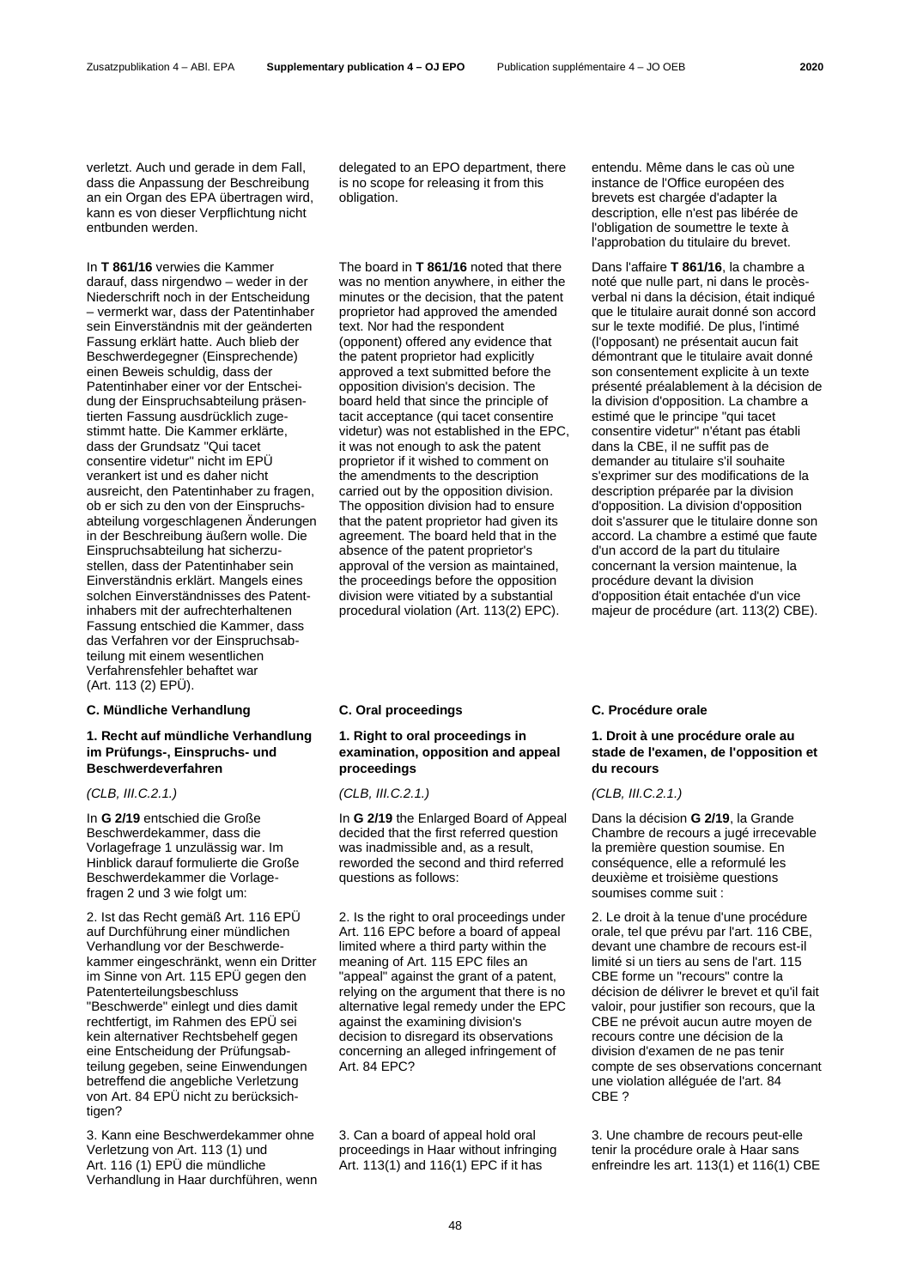verletzt. Auch und gerade in dem Fall, dass die Anpassung der Beschreibung an ein Organ des EPA übertragen wird, kann es von dieser Verpflichtung nicht entbunden werden.

In **T 861/16** verwies die Kammer darauf, dass nirgendwo – weder in der Niederschrift noch in der Entscheidung – vermerkt war, dass der Patentinhaber sein Einverständnis mit der geänderten Fassung erklärt hatte. Auch blieb der Beschwerdegegner (Einsprechende) einen Beweis schuldig, dass der Patentinhaber einer vor der Entscheidung der Einspruchsabteilung präsentierten Fassung ausdrücklich zugestimmt hatte. Die Kammer erklärte, dass der Grundsatz "Qui tacet consentire videtur" nicht im EPÜ verankert ist und es daher nicht ausreicht, den Patentinhaber zu fragen, ob er sich zu den von der Einspruchsabteilung vorgeschlagenen Änderungen in der Beschreibung äußern wolle. Die Einspruchsabteilung hat sicherzustellen, dass der Patentinhaber sein Einverständnis erklärt. Mangels eines solchen Einverständnisses des Patentinhabers mit der aufrechterhaltenen Fassung entschied die Kammer, dass das Verfahren vor der Einspruchsabteilung mit einem wesentlichen Verfahrensfehler behaftet war (Art. 113 (2) EPÜ).

### **C. Mündliche Verhandlung C. Oral proceedings C. Procédure orale**

### **1. Recht auf mündliche Verhandlung im Prüfungs-, Einspruchs- und Beschwerdeverfahren**

### *(CLB, III.C.2.1.) (CLB, III.C.2.1.) (CLB, III.C.2.1.)*

In **G 2/19** entschied die Große Beschwerdekammer, dass die Vorlagefrage 1 unzulässig war. Im Hinblick darauf formulierte die Große Beschwerdekammer die Vorlagefragen 2 und 3 wie folgt um:

2. Ist das Recht gemäß Art. 116 EPÜ auf Durchführung einer mündlichen Verhandlung vor der Beschwerdekammer eingeschränkt, wenn ein Dritter im Sinne von Art. 115 EPÜ gegen den Patenterteilungsbeschluss "Beschwerde" einlegt und dies damit rechtfertigt, im Rahmen des EPÜ sei kein alternativer Rechtsbehelf gegen eine Entscheidung der Prüfungsabteilung gegeben, seine Einwendungen betreffend die angebliche Verletzung von Art. 84 EPÜ nicht zu berücksichtigen?

3. Kann eine Beschwerdekammer ohne Verletzung von Art. 113 (1) und Art. 116 (1) EPÜ die mündliche Verhandlung in Haar durchführen, wenn delegated to an EPO department, there is no scope for releasing it from this obligation.

The board in **T 861/16** noted that there was no mention anywhere, in either the minutes or the decision, that the patent proprietor had approved the amended text. Nor had the respondent (opponent) offered any evidence that the patent proprietor had explicitly approved a text submitted before the opposition division's decision. The board held that since the principle of tacit acceptance (qui tacet consentire videtur) was not established in the EPC, it was not enough to ask the patent proprietor if it wished to comment on the amendments to the description carried out by the opposition division. The opposition division had to ensure that the patent proprietor had given its agreement. The board held that in the absence of the patent proprietor's approval of the version as maintained, the proceedings before the opposition division were vitiated by a substantial procedural violation (Art. 113(2) EPC).

# **1. Right to oral proceedings in examination, opposition and appeal proceedings**

In **G 2/19** the Enlarged Board of Appeal decided that the first referred question was inadmissible and, as a result, reworded the second and third referred questions as follows:

2. Is the right to oral proceedings under Art. 116 EPC before a board of appeal limited where a third party within the meaning of Art. 115 EPC files an "appeal" against the grant of a patent, relying on the argument that there is no alternative legal remedy under the EPC against the examining division's decision to disregard its observations concerning an alleged infringement of Art. 84 EPC?

3. Can a board of appeal hold oral proceedings in Haar without infringing Art. 113(1) and 116(1) EPC if it has

entendu. Même dans le cas où une instance de l'Office européen des brevets est chargée d'adapter la description, elle n'est pas libérée de l'obligation de soumettre le texte à l'approbation du titulaire du brevet.

Dans l'affaire **T 861/16**, la chambre a noté que nulle part, ni dans le procèsverbal ni dans la décision, était indiqué que le titulaire aurait donné son accord sur le texte modifié. De plus, l'intimé (l'opposant) ne présentait aucun fait démontrant que le titulaire avait donné son consentement explicite à un texte présenté préalablement à la décision de la division d'opposition. La chambre a estimé que le principe "qui tacet consentire videtur" n'étant pas établi dans la CBE, il ne suffit pas de demander au titulaire s'il souhaite s'exprimer sur des modifications de la description préparée par la division d'opposition. La division d'opposition doit s'assurer que le titulaire donne son accord. La chambre a estimé que faute d'un accord de la part du titulaire concernant la version maintenue, la procédure devant la division d'opposition était entachée d'un vice majeur de procédure (art. 113(2) CBE).

# **1. Droit à une procédure orale au stade de l'examen, de l'opposition et du recours**

Dans la décision **G 2/19**, la Grande Chambre de recours a jugé irrecevable la première question soumise. En conséquence, elle a reformulé les deuxième et troisième questions soumises comme suit :

2. Le droit à la tenue d'une procédure orale, tel que prévu par l'art. 116 CBE, devant une chambre de recours est-il limité si un tiers au sens de l'art. 115 CBE forme un "recours" contre la décision de délivrer le brevet et qu'il fait valoir, pour justifier son recours, que la CBE ne prévoit aucun autre moyen de recours contre une décision de la division d'examen de ne pas tenir compte de ses observations concernant une violation alléguée de l'art. 84 CBE ?

3. Une chambre de recours peut-elle tenir la procédure orale à Haar sans enfreindre les art. 113(1) et 116(1) CBE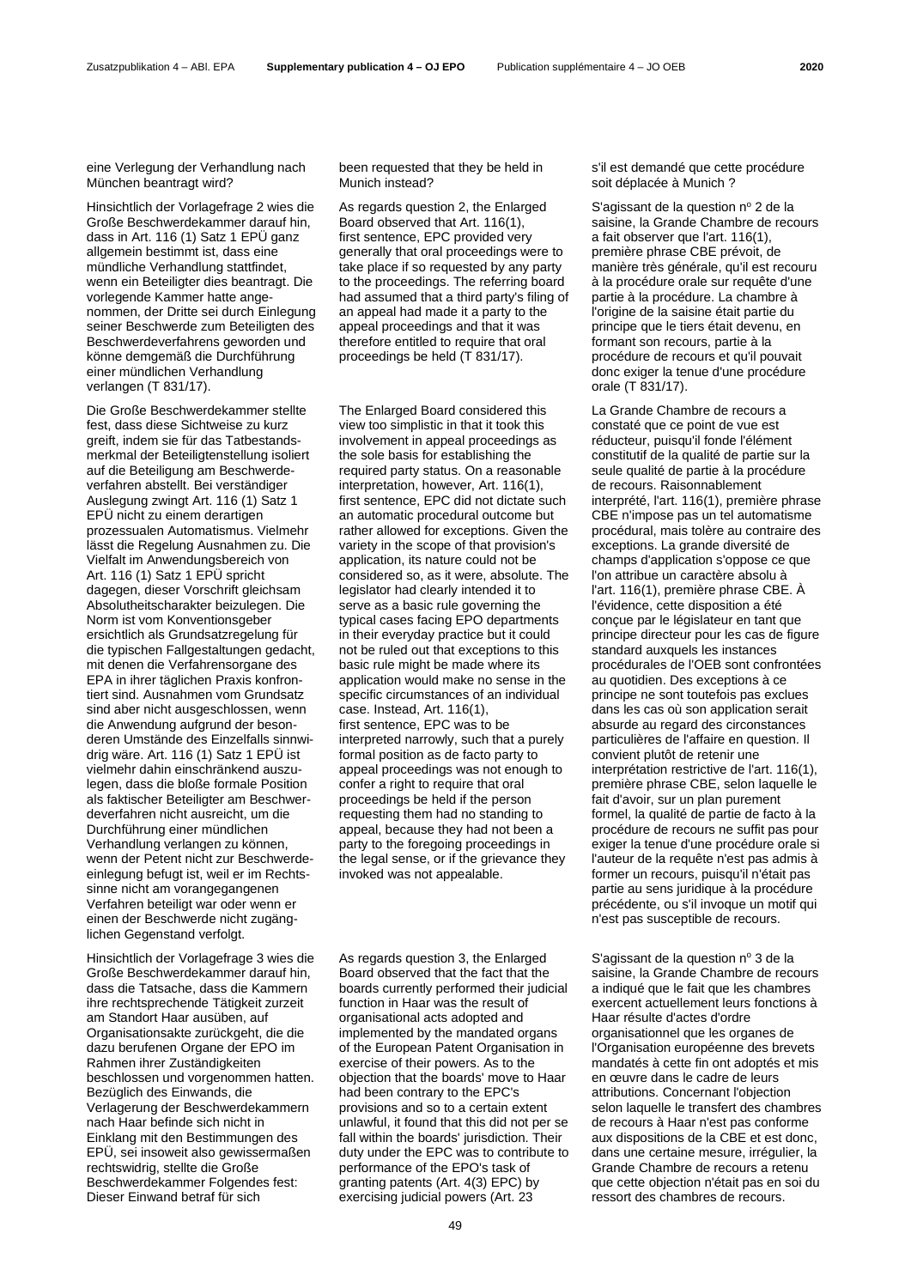eine Verlegung der Verhandlung nach München beantragt wird?

Hinsichtlich der Vorlagefrage 2 wies die Große Beschwerdekammer darauf hin, dass in Art. 116 (1) Satz 1 EPÜ ganz allgemein bestimmt ist, dass eine mündliche Verhandlung stattfindet, wenn ein Beteiligter dies beantragt. Die vorlegende Kammer hatte angenommen, der Dritte sei durch Einlegung seiner Beschwerde zum Beteiligten des Beschwerdeverfahrens geworden und könne demgemäß die Durchführung einer mündlichen Verhandlung verlangen (T 831/17).

Die Große Beschwerdekammer stellte fest, dass diese Sichtweise zu kurz greift, indem sie für das Tatbestandsmerkmal der Beteiligtenstellung isoliert auf die Beteiligung am Beschwerdeverfahren abstellt. Bei verständiger Auslegung zwingt Art. 116 (1) Satz 1 EPÜ nicht zu einem derartigen prozessualen Automatismus. Vielmehr lässt die Regelung Ausnahmen zu. Die Vielfalt im Anwendungsbereich von Art. 116 (1) Satz 1 EPÜ spricht dagegen, dieser Vorschrift gleichsam Absolutheitscharakter beizulegen. Die Norm ist vom Konventionsgeber ersichtlich als Grundsatzregelung für die typischen Fallgestaltungen gedacht, mit denen die Verfahrensorgane des EPA in ihrer täglichen Praxis konfrontiert sind. Ausnahmen vom Grundsatz sind aber nicht ausgeschlossen, wenn die Anwendung aufgrund der besonderen Umstände des Einzelfalls sinnwidrig wäre. Art. 116 (1) Satz 1 EPÜ ist vielmehr dahin einschränkend auszulegen, dass die bloße formale Position als faktischer Beteiligter am Beschwerdeverfahren nicht ausreicht, um die Durchführung einer mündlichen Verhandlung verlangen zu können, wenn der Petent nicht zur Beschwerdeeinlegung befugt ist, weil er im Rechtssinne nicht am vorangegangenen Verfahren beteiligt war oder wenn er einen der Beschwerde nicht zugänglichen Gegenstand verfolgt.

Hinsichtlich der Vorlagefrage 3 wies die Große Beschwerdekammer darauf hin, dass die Tatsache, dass die Kammern ihre rechtsprechende Tätigkeit zurzeit am Standort Haar ausüben, auf Organisationsakte zurückgeht, die die dazu berufenen Organe der EPO im Rahmen ihrer Zuständigkeiten beschlossen und vorgenommen hatten. Bezüglich des Einwands, die Verlagerung der Beschwerdekammern nach Haar befinde sich nicht in Einklang mit den Bestimmungen des EPÜ, sei insoweit also gewissermaßen rechtswidrig, stellte die Große Beschwerdekammer Folgendes fest: Dieser Einwand betraf für sich

been requested that they be held in Munich instead?

As regards question 2, the Enlarged Board observed that Art. 116(1), first sentence, EPC provided very generally that oral proceedings were to take place if so requested by any party to the proceedings. The referring board had assumed that a third party's filing of an appeal had made it a party to the appeal proceedings and that it was therefore entitled to require that oral proceedings be held (T 831/17).

The Enlarged Board considered this view too simplistic in that it took this involvement in appeal proceedings as the sole basis for establishing the required party status. On a reasonable interpretation, however, Art. 116(1), first sentence, EPC did not dictate such an automatic procedural outcome but rather allowed for exceptions. Given the variety in the scope of that provision's application, its nature could not be considered so, as it were, absolute. The legislator had clearly intended it to serve as a basic rule governing the typical cases facing EPO departments in their everyday practice but it could not be ruled out that exceptions to this basic rule might be made where its application would make no sense in the specific circumstances of an individual case. Instead, Art. 116(1), first sentence, EPC was to be interpreted narrowly, such that a purely formal position as de facto party to appeal proceedings was not enough to confer a right to require that oral proceedings be held if the person requesting them had no standing to appeal, because they had not been a party to the foregoing proceedings in the legal sense, or if the grievance they invoked was not appealable.

As regards question 3, the Enlarged Board observed that the fact that the boards currently performed their judicial function in Haar was the result of organisational acts adopted and implemented by the mandated organs of the European Patent Organisation in exercise of their powers. As to the objection that the boards' move to Haar had been contrary to the EPC's provisions and so to a certain extent unlawful, it found that this did not per se fall within the boards' jurisdiction. Their duty under the EPC was to contribute to performance of the EPO's task of granting patents (Art. 4(3) EPC) by exercising judicial powers (Art. 23

s'il est demandé que cette procédure soit déplacée à Munich ?

S'agissant de la question nº 2 de la saisine, la Grande Chambre de recours a fait observer que l'art. 116(1), première phrase CBE prévoit, de manière très générale, qu'il est recouru à la procédure orale sur requête d'une partie à la procédure. La chambre à l'origine de la saisine était partie du principe que le tiers était devenu, en formant son recours, partie à la procédure de recours et qu'il pouvait donc exiger la tenue d'une procédure orale (T 831/17).

La Grande Chambre de recours a constaté que ce point de vue est réducteur, puisqu'il fonde l'élément constitutif de la qualité de partie sur la seule qualité de partie à la procédure de recours. Raisonnablement interprété, l'art. 116(1), première phrase CBE n'impose pas un tel automatisme procédural, mais tolère au contraire des exceptions. La grande diversité de champs d'application s'oppose ce que l'on attribue un caractère absolu à l'art. 116(1), première phrase CBE. À l'évidence, cette disposition a été conçue par le législateur en tant que principe directeur pour les cas de figure standard auxquels les instances procédurales de l'OEB sont confrontées au quotidien. Des exceptions à ce principe ne sont toutefois pas exclues dans les cas où son application serait absurde au regard des circonstances particulières de l'affaire en question. Il convient plutôt de retenir une interprétation restrictive de l'art. 116(1), première phrase CBE, selon laquelle le fait d'avoir, sur un plan purement formel, la qualité de partie de facto à la procédure de recours ne suffit pas pour exiger la tenue d'une procédure orale si l'auteur de la requête n'est pas admis à former un recours, puisqu'il n'était pas partie au sens juridique à la procédure précédente, ou s'il invoque un motif qui n'est pas susceptible de recours.

S'agissant de la question  $n^{\circ}$  3 de la saisine, la Grande Chambre de recours a indiqué que le fait que les chambres exercent actuellement leurs fonctions à Haar résulte d'actes d'ordre organisationnel que les organes de l'Organisation européenne des brevets mandatés à cette fin ont adoptés et mis en œuvre dans le cadre de leurs attributions. Concernant l'objection selon laquelle le transfert des chambres de recours à Haar n'est pas conforme aux dispositions de la CBE et est donc, dans une certaine mesure, irrégulier, la Grande Chambre de recours a retenu que cette objection n'était pas en soi du ressort des chambres de recours.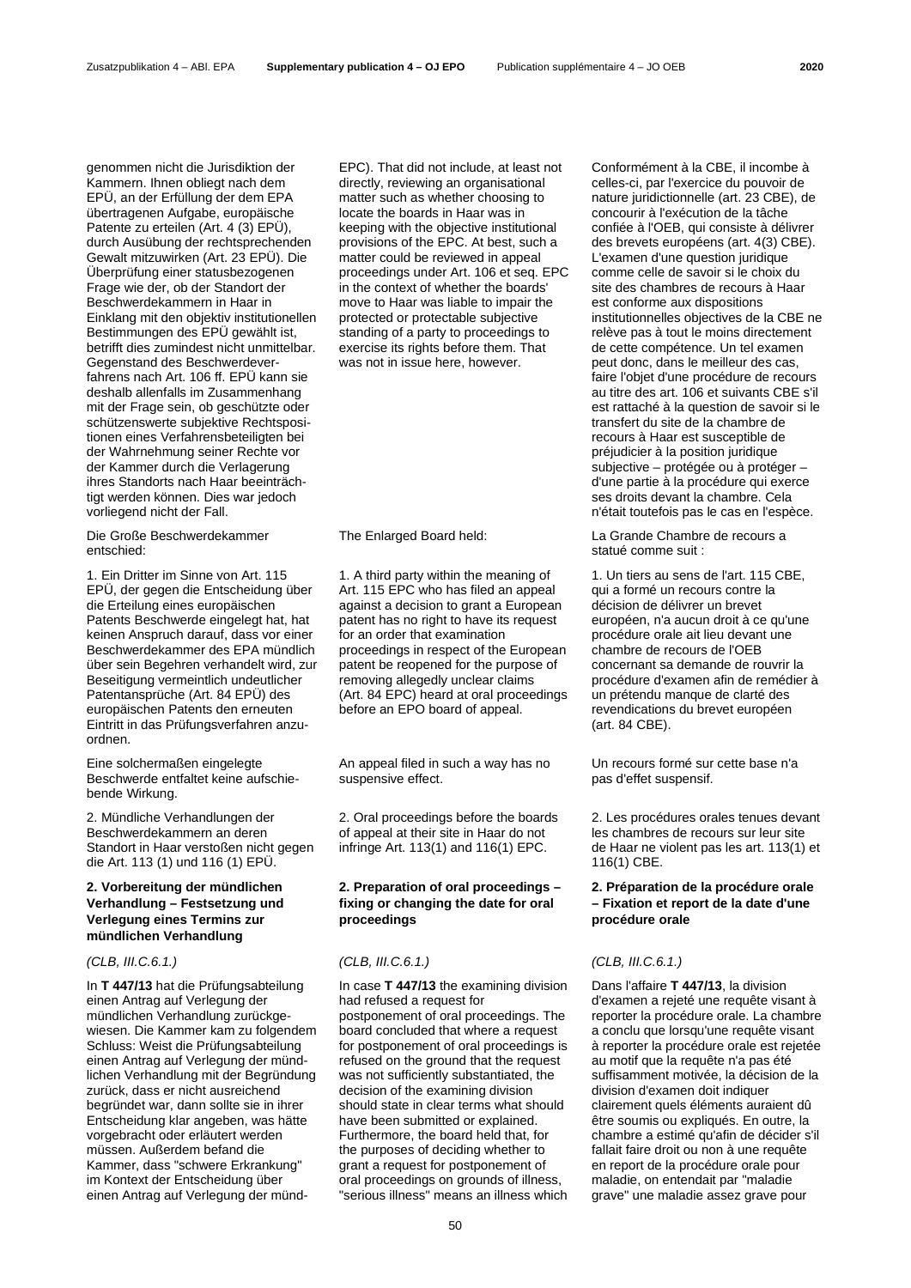genommen nicht die Jurisdiktion der Kammern. Ihnen obliegt nach dem EPÜ, an der Erfüllung der dem EPA übertragenen Aufgabe, europäische Patente zu erteilen (Art. 4 (3) EPÜ), durch Ausübung der rechtsprechenden Gewalt mitzuwirken (Art. 23 EPÜ). Die Überprüfung einer statusbezogenen Frage wie der, ob der Standort der Beschwerdekammern in Haar in Einklang mit den objektiv institutionellen Bestimmungen des EPÜ gewählt ist, betrifft dies zumindest nicht unmittelbar. Gegenstand des Beschwerdeverfahrens nach Art. 106 ff. EPÜ kann sie deshalb allenfalls im Zusammenhang mit der Frage sein, ob geschützte oder schützenswerte subjektive Rechtspositionen eines Verfahrensbeteiligten bei der Wahrnehmung seiner Rechte vor der Kammer durch die Verlagerung ihres Standorts nach Haar beeinträchtigt werden können. Dies war jedoch vorliegend nicht der Fall.

Die Große Beschwerdekammer entschied:

1. Ein Dritter im Sinne von Art. 115 EPÜ, der gegen die Entscheidung über die Erteilung eines europäischen Patents Beschwerde eingelegt hat, hat keinen Anspruch darauf, dass vor einer Beschwerdekammer des EPA mündlich über sein Begehren verhandelt wird, zur Beseitigung vermeintlich undeutlicher Patentansprüche (Art. 84 EPÜ) des europäischen Patents den erneuten Eintritt in das Prüfungsverfahren anzuordnen.

Eine solchermaßen eingelegte Beschwerde entfaltet keine aufschiebende Wirkung.

2. Mündliche Verhandlungen der Beschwerdekammern an deren Standort in Haar verstoßen nicht gegen die Art. 113 (1) und 116 (1) EPÜ.

# **2. Vorbereitung der mündlichen Verhandlung – Festsetzung und Verlegung eines Termins zur mündlichen Verhandlung**

In **T 447/13** hat die Prüfungsabteilung einen Antrag auf Verlegung der mündlichen Verhandlung zurückgewiesen. Die Kammer kam zu folgendem Schluss: Weist die Prüfungsabteilung einen Antrag auf Verlegung der mündlichen Verhandlung mit der Begründung zurück, dass er nicht ausreichend begründet war, dann sollte sie in ihrer Entscheidung klar angeben, was hätte vorgebracht oder erläutert werden müssen. Außerdem befand die Kammer, dass "schwere Erkrankung" im Kontext der Entscheidung über einen Antrag auf Verlegung der münd-

EPC). That did not include, at least not directly, reviewing an organisational matter such as whether choosing to locate the boards in Haar was in keeping with the objective institutional provisions of the EPC. At best, such a matter could be reviewed in appeal proceedings under Art. 106 et seq. EPC in the context of whether the boards' move to Haar was liable to impair the protected or protectable subjective standing of a party to proceedings to exercise its rights before them. That was not in issue here, however.

1. A third party within the meaning of Art. 115 EPC who has filed an appeal against a decision to grant a European patent has no right to have its request for an order that examination proceedings in respect of the European patent be reopened for the purpose of removing allegedly unclear claims (Art. 84 EPC) heard at oral proceedings before an EPO board of appeal.

An appeal filed in such a way has no suspensive effect.

2. Oral proceedings before the boards of appeal at their site in Haar do not infringe Art. 113(1) and 116(1) EPC.

# **2. Preparation of oral proceedings – fixing or changing the date for oral proceedings**

In case **T 447/13** the examining division had refused a request for postponement of oral proceedings. The board concluded that where a request for postponement of oral proceedings is refused on the ground that the request was not sufficiently substantiated, the decision of the examining division should state in clear terms what should have been submitted or explained. Furthermore, the board held that, for the purposes of deciding whether to grant a request for postponement of oral proceedings on grounds of illness, "serious illness" means an illness which Conformément à la CBE, il incombe à celles-ci, par l'exercice du pouvoir de nature juridictionnelle (art. 23 CBE), de concourir à l'exécution de la tâche confiée à l'OEB, qui consiste à délivrer des brevets européens (art. 4(3) CBE). L'examen d'une question juridique comme celle de savoir si le choix du site des chambres de recours à Haar est conforme aux dispositions institutionnelles objectives de la CBE ne relève pas à tout le moins directement de cette compétence. Un tel examen peut donc, dans le meilleur des cas, faire l'objet d'une procédure de recours au titre des art. 106 et suivants CBE s'il est rattaché à la question de savoir si le transfert du site de la chambre de recours à Haar est susceptible de préjudicier à la position juridique subjective – protégée ou à protéger – d'une partie à la procédure qui exerce ses droits devant la chambre. Cela n'était toutefois pas le cas en l'espèce.

The Enlarged Board held: La Grande Chambre de recours a statué comme suit :

> 1. Un tiers au sens de l'art. 115 CBE, qui a formé un recours contre la décision de délivrer un brevet européen, n'a aucun droit à ce qu'une procédure orale ait lieu devant une chambre de recours de l'OEB concernant sa demande de rouvrir la procédure d'examen afin de remédier à un prétendu manque de clarté des revendications du brevet européen (art. 84 CBE).

Un recours formé sur cette base n'a pas d'effet suspensif.

2. Les procédures orales tenues devant les chambres de recours sur leur site de Haar ne violent pas les art. 113(1) et 116(1) CBE.

### **2. Préparation de la procédure orale – Fixation et report de la date d'une procédure orale**

# *(CLB, III.C.6.1.) (CLB, III.C.6.1.) (CLB, III.C.6.1.)*

Dans l'affaire **T 447/13**, la division d'examen a rejeté une requête visant à reporter la procédure orale. La chambre a conclu que lorsqu'une requête visant à reporter la procédure orale est rejetée au motif que la requête n'a pas été suffisamment motivée, la décision de la division d'examen doit indiquer clairement quels éléments auraient dû être soumis ou expliqués. En outre, la chambre a estimé qu'afin de décider s'il fallait faire droit ou non à une requête en report de la procédure orale pour maladie, on entendait par "maladie grave" une maladie assez grave pour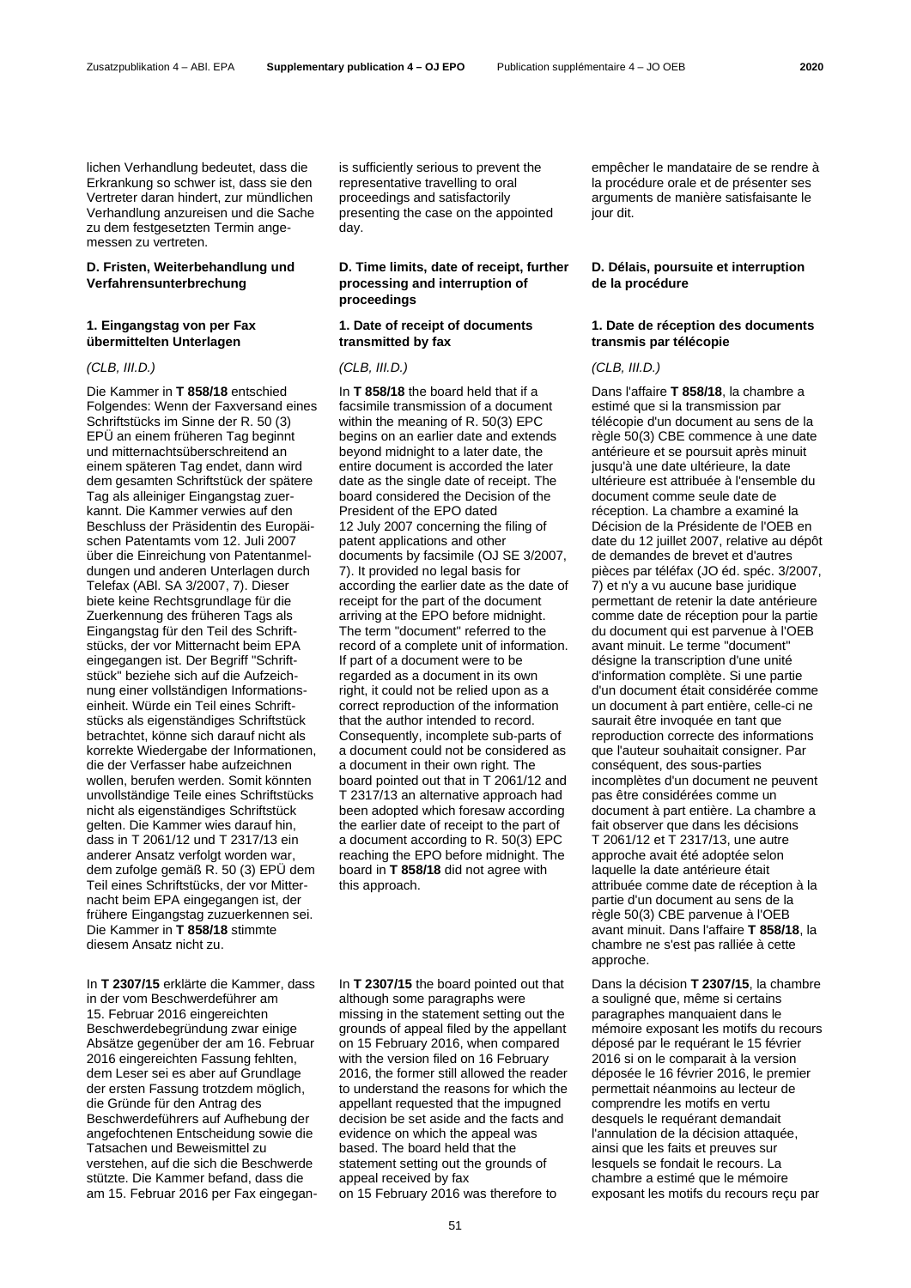lichen Verhandlung bedeutet, dass die Erkrankung so schwer ist, dass sie den Vertreter daran hindert, zur mündlichen Verhandlung anzureisen und die Sache zu dem festgesetzten Termin angemessen zu vertreten.

# **D. Fristen, Weiterbehandlung und Verfahrensunterbrechung**

### **1. Eingangstag von per Fax übermittelten Unterlagen**

Die Kammer in **T 858/18** entschied Folgendes: Wenn der Faxversand eines Schriftstücks im Sinne der R. 50 (3) EPÜ an einem früheren Tag beginnt und mitternachtsüberschreitend an einem späteren Tag endet, dann wird dem gesamten Schriftstück der spätere Tag als alleiniger Eingangstag zuerkannt. Die Kammer verwies auf den Beschluss der Präsidentin des Europäischen Patentamts vom 12. Juli 2007 über die Einreichung von Patentanmeldungen und anderen Unterlagen durch Telefax (ABl. SA 3/2007, 7). Dieser biete keine Rechtsgrundlage für die Zuerkennung des früheren Tags als Eingangstag für den Teil des Schriftstücks, der vor Mitternacht beim EPA eingegangen ist. Der Begriff "Schriftstück" beziehe sich auf die Aufzeichnung einer vollständigen Informationseinheit. Würde ein Teil eines Schriftstücks als eigenständiges Schriftstück betrachtet, könne sich darauf nicht als korrekte Wiedergabe der Informationen, die der Verfasser habe aufzeichnen wollen, berufen werden. Somit könnten unvollständige Teile eines Schriftstücks nicht als eigenständiges Schriftstück gelten. Die Kammer wies darauf hin, dass in T 2061/12 und T 2317/13 ein anderer Ansatz verfolgt worden war, dem zufolge gemäß R. 50 (3) EPÜ dem Teil eines Schriftstücks, der vor Mitternacht beim EPA eingegangen ist, der frühere Eingangstag zuzuerkennen sei. Die Kammer in **T 858/18** stimmte diesem Ansatz nicht zu.

In **T 2307/15** erklärte die Kammer, dass in der vom Beschwerdeführer am 15. Februar 2016 eingereichten Beschwerdebegründung zwar einige Absätze gegenüber der am 16. Februar 2016 eingereichten Fassung fehlten, dem Leser sei es aber auf Grundlage der ersten Fassung trotzdem möglich, die Gründe für den Antrag des Beschwerdeführers auf Aufhebung der angefochtenen Entscheidung sowie die Tatsachen und Beweismittel zu verstehen, auf die sich die Beschwerde stützte. Die Kammer befand, dass die am 15. Februar 2016 per Fax eingeganis sufficiently serious to prevent the representative travelling to oral proceedings and satisfactorily presenting the case on the appointed day.

# **D. Time limits, date of receipt, further processing and interruption of proceedings**

## **1. Date of receipt of documents transmitted by fax**

### *(CLB, III.D.) (CLB, III.D.) (CLB, III.D.)*

In **T 858/18** the board held that if a facsimile transmission of a document within the meaning of R. 50(3) EPC begins on an earlier date and extends beyond midnight to a later date, the entire document is accorded the later date as the single date of receipt. The board considered the Decision of the President of the EPO dated 12 July 2007 concerning the filing of patent applications and other documents by facsimile (OJ SE 3/2007, 7). It provided no legal basis for according the earlier date as the date of receipt for the part of the document arriving at the EPO before midnight. The term "document" referred to the record of a complete unit of information. If part of a document were to be regarded as a document in its own right, it could not be relied upon as a correct reproduction of the information that the author intended to record. Consequently, incomplete sub-parts of a document could not be considered as a document in their own right. The board pointed out that in T 2061/12 and T 2317/13 an alternative approach had been adopted which foresaw according the earlier date of receipt to the part of a document according to R. 50(3) EPC reaching the EPO before midnight. The board in **T 858/18** did not agree with this approach.

In **T 2307/15** the board pointed out that although some paragraphs were missing in the statement setting out the grounds of appeal filed by the appellant on 15 February 2016, when compared with the version filed on 16 February 2016, the former still allowed the reader to understand the reasons for which the appellant requested that the impugned decision be set aside and the facts and evidence on which the appeal was based. The board held that the statement setting out the grounds of appeal received by fax on 15 February 2016 was therefore to

empêcher le mandataire de se rendre à la procédure orale et de présenter ses arguments de manière satisfaisante le jour dit.

# **D. Délais, poursuite et interruption de la procédure**

### **1. Date de réception des documents transmis par télécopie**

Dans l'affaire **T 858/18**, la chambre a estimé que si la transmission par télécopie d'un document au sens de la règle 50(3) CBE commence à une date antérieure et se poursuit après minuit jusqu'à une date ultérieure, la date ultérieure est attribuée à l'ensemble du document comme seule date de réception. La chambre a examiné la Décision de la Présidente de l'OEB en date du 12 juillet 2007, relative au dépôt de demandes de brevet et d'autres pièces par téléfax (JO éd. spéc. 3/2007, 7) et n'y a vu aucune base juridique permettant de retenir la date antérieure comme date de réception pour la partie du document qui est parvenue à l'OEB avant minuit. Le terme "document" désigne la transcription d'une unité d'information complète. Si une partie d'un document était considérée comme un document à part entière, celle-ci ne saurait être invoquée en tant que reproduction correcte des informations que l'auteur souhaitait consigner. Par conséquent, des sous-parties incomplètes d'un document ne peuvent pas être considérées comme un document à part entière. La chambre a fait observer que dans les décisions T 2061/12 et T 2317/13, une autre approche avait été adoptée selon laquelle la date antérieure était attribuée comme date de réception à la partie d'un document au sens de la règle 50(3) CBE parvenue à l'OEB avant minuit. Dans l'affaire **T 858/18**, la chambre ne s'est pas ralliée à cette approche.

Dans la décision **T 2307/15**, la chambre a souligné que, même si certains paragraphes manquaient dans le mémoire exposant les motifs du recours déposé par le requérant le 15 février 2016 si on le comparait à la version déposée le 16 février 2016, le premier permettait néanmoins au lecteur de comprendre les motifs en vertu desquels le requérant demandait l'annulation de la décision attaquée, ainsi que les faits et preuves sur lesquels se fondait le recours. La chambre a estimé que le mémoire exposant les motifs du recours reçu par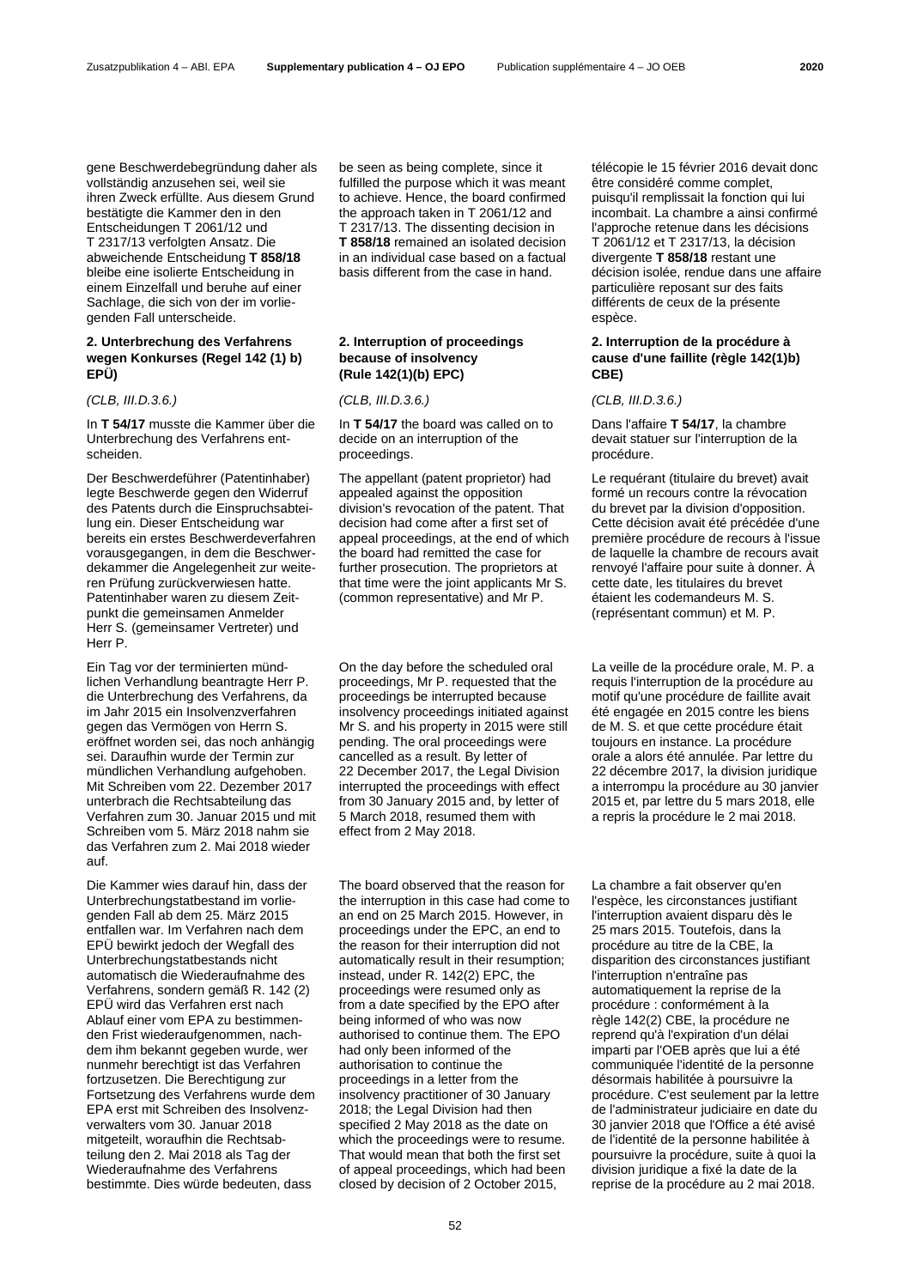gene Beschwerdebegründung daher als vollständig anzusehen sei, weil sie ihren Zweck erfüllte. Aus diesem Grund bestätigte die Kammer den in den Entscheidungen T 2061/12 und T 2317/13 verfolgten Ansatz. Die abweichende Entscheidung **T 858/18**  bleibe eine isolierte Entscheidung in einem Einzelfall und beruhe auf einer Sachlage, die sich von der im vorliegenden Fall unterscheide.

### **2. Unterbrechung des Verfahrens wegen Konkurses (Regel 142 (1) b) EPÜ)**

In **T 54/17** musste die Kammer über die Unterbrechung des Verfahrens entscheiden.

Der Beschwerdeführer (Patentinhaber) legte Beschwerde gegen den Widerruf des Patents durch die Einspruchsabteilung ein. Dieser Entscheidung war bereits ein erstes Beschwerdeverfahren vorausgegangen, in dem die Beschwerdekammer die Angelegenheit zur weiteren Prüfung zurückverwiesen hatte. Patentinhaber waren zu diesem Zeitpunkt die gemeinsamen Anmelder Herr S. (gemeinsamer Vertreter) und Herr P.

Ein Tag vor der terminierten mündlichen Verhandlung beantragte Herr P. die Unterbrechung des Verfahrens, da im Jahr 2015 ein Insolvenzverfahren gegen das Vermögen von Herrn S. eröffnet worden sei, das noch anhängig sei. Daraufhin wurde der Termin zur mündlichen Verhandlung aufgehoben. Mit Schreiben vom 22. Dezember 2017 unterbrach die Rechtsabteilung das Verfahren zum 30. Januar 2015 und mit Schreiben vom 5. März 2018 nahm sie das Verfahren zum 2. Mai 2018 wieder auf.

Die Kammer wies darauf hin, dass der Unterbrechungstatbestand im vorliegenden Fall ab dem 25. März 2015 entfallen war. Im Verfahren nach dem EPÜ bewirkt jedoch der Wegfall des Unterbrechungstatbestands nicht automatisch die Wiederaufnahme des Verfahrens, sondern gemäß R. 142 (2) EPÜ wird das Verfahren erst nach Ablauf einer vom EPA zu bestimmenden Frist wiederaufgenommen, nachdem ihm bekannt gegeben wurde, wer nunmehr berechtigt ist das Verfahren fortzusetzen. Die Berechtigung zur Fortsetzung des Verfahrens wurde dem EPA erst mit Schreiben des Insolvenzverwalters vom 30. Januar 2018 mitgeteilt, woraufhin die Rechtsabteilung den 2. Mai 2018 als Tag der Wiederaufnahme des Verfahrens bestimmte. Dies würde bedeuten, dass

be seen as being complete, since it fulfilled the purpose which it was meant to achieve. Hence, the board confirmed the approach taken in T 2061/12 and T 2317/13. The dissenting decision in **T 858/18** remained an isolated decision in an individual case based on a factual basis different from the case in hand.

# **2. Interruption of proceedings because of insolvency (Rule 142(1)(b) EPC)**

### *(CLB, III.D.3.6.) (CLB, III.D.3.6.) (CLB, III.D.3.6.)*

In **T 54/17** the board was called on to decide on an interruption of the proceedings.

The appellant (patent proprietor) had appealed against the opposition division's revocation of the patent. That decision had come after a first set of appeal proceedings, at the end of which the board had remitted the case for further prosecution. The proprietors at that time were the joint applicants Mr S. (common representative) and Mr P.

On the day before the scheduled oral proceedings, Mr P. requested that the proceedings be interrupted because insolvency proceedings initiated against Mr S. and his property in 2015 were still pending. The oral proceedings were cancelled as a result. By letter of 22 December 2017, the Legal Division interrupted the proceedings with effect from 30 January 2015 and, by letter of 5 March 2018, resumed them with effect from 2 May 2018.

The board observed that the reason for the interruption in this case had come to an end on 25 March 2015. However, in proceedings under the EPC, an end to the reason for their interruption did not automatically result in their resumption; instead, under R. 142(2) EPC, the proceedings were resumed only as from a date specified by the EPO after being informed of who was now authorised to continue them. The EPO had only been informed of the authorisation to continue the proceedings in a letter from the insolvency practitioner of 30 January 2018; the Legal Division had then specified 2 May 2018 as the date on which the proceedings were to resume. That would mean that both the first set of appeal proceedings, which had been closed by decision of 2 October 2015,

télécopie le 15 février 2016 devait donc être considéré comme complet, puisqu'il remplissait la fonction qui lui incombait. La chambre a ainsi confirmé l'approche retenue dans les décisions T 2061/12 et T 2317/13, la décision divergente **T 858/18** restant une décision isolée, rendue dans une affaire particulière reposant sur des faits différents de ceux de la présente espèce.

# **2. Interruption de la procédure à cause d'une faillite (règle 142(1)b) CBE)**

Dans l'affaire **T 54/17**, la chambre devait statuer sur l'interruption de la procédure.

Le requérant (titulaire du brevet) avait formé un recours contre la révocation du brevet par la division d'opposition. Cette décision avait été précédée d'une première procédure de recours à l'issue de laquelle la chambre de recours avait renvoyé l'affaire pour suite à donner. À cette date, les titulaires du brevet étaient les codemandeurs M. S. (représentant commun) et M. P.

La veille de la procédure orale, M. P. a requis l'interruption de la procédure au motif qu'une procédure de faillite avait été engagée en 2015 contre les biens de M. S. et que cette procédure était toujours en instance. La procédure orale a alors été annulée. Par lettre du 22 décembre 2017, la division juridique a interrompu la procédure au 30 janvier 2015 et, par lettre du 5 mars 2018, elle a repris la procédure le 2 mai 2018.

La chambre a fait observer qu'en l'espèce, les circonstances justifiant l'interruption avaient disparu dès le 25 mars 2015. Toutefois, dans la procédure au titre de la CBE, la disparition des circonstances justifiant l'interruption n'entraîne pas automatiquement la reprise de la procédure : conformément à la règle 142(2) CBE, la procédure ne reprend qu'à l'expiration d'un délai imparti par l'OEB après que lui a été communiquée l'identité de la personne désormais habilitée à poursuivre la procédure. C'est seulement par la lettre de l'administrateur judiciaire en date du 30 janvier 2018 que l'Office a été avisé de l'identité de la personne habilitée à poursuivre la procédure, suite à quoi la division juridique a fixé la date de la reprise de la procédure au 2 mai 2018.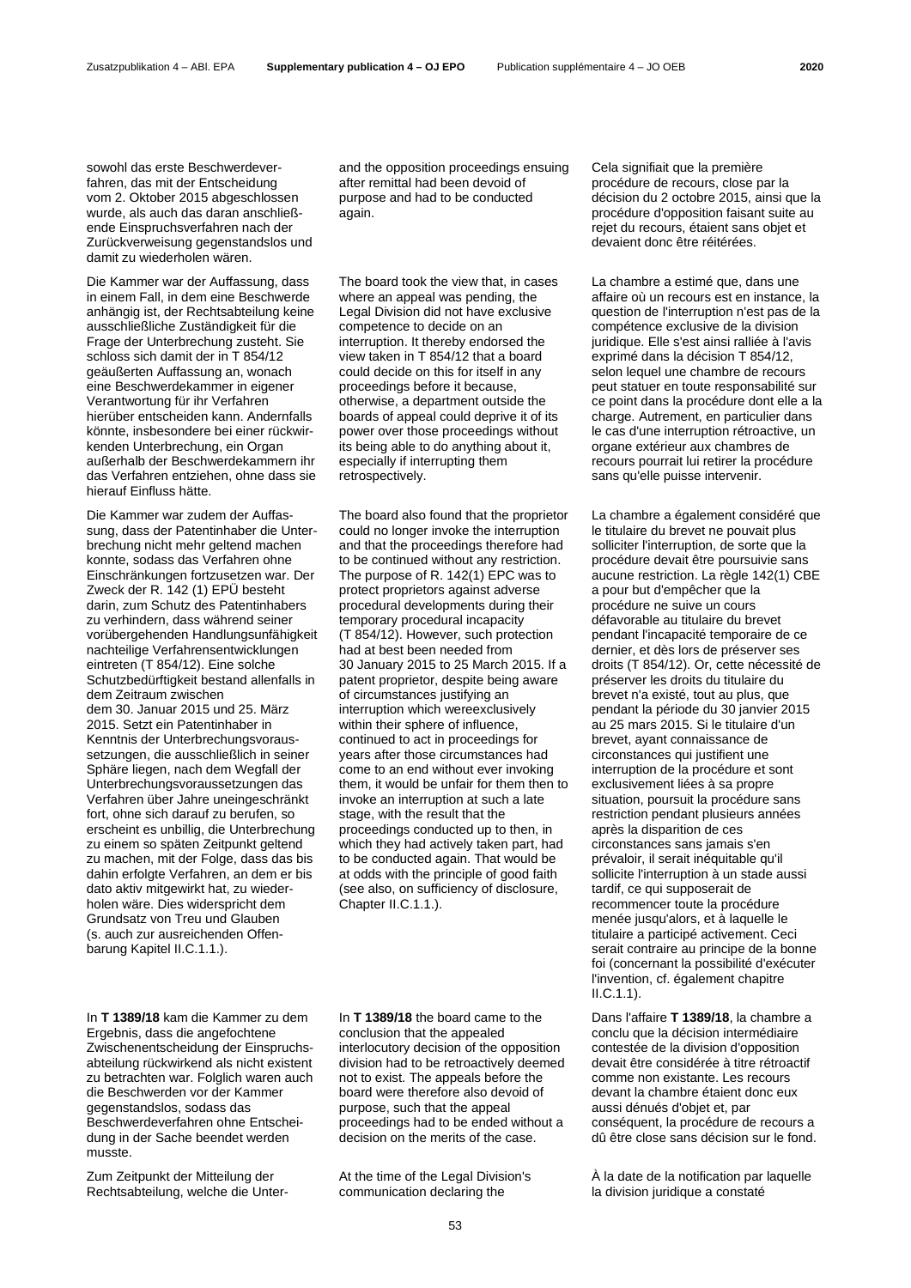sowohl das erste Beschwerdeverfahren, das mit der Entscheidung vom 2. Oktober 2015 abgeschlossen wurde, als auch das daran anschließende Einspruchsverfahren nach der Zurückverweisung gegenstandslos und damit zu wiederholen wären.

Die Kammer war der Auffassung, dass in einem Fall, in dem eine Beschwerde anhängig ist, der Rechtsabteilung keine ausschließliche Zuständigkeit für die Frage der Unterbrechung zusteht. Sie schloss sich damit der in T 854/12 geäußerten Auffassung an, wonach eine Beschwerdekammer in eigener Verantwortung für ihr Verfahren hierüber entscheiden kann. Andernfalls könnte, insbesondere bei einer rückwirkenden Unterbrechung, ein Organ außerhalb der Beschwerdekammern ihr das Verfahren entziehen, ohne dass sie hierauf Einfluss hätte.

Die Kammer war zudem der Auffassung, dass der Patentinhaber die Unterbrechung nicht mehr geltend machen konnte, sodass das Verfahren ohne Einschränkungen fortzusetzen war. Der Zweck der R. 142 (1) EPÜ besteht darin, zum Schutz des Patentinhabers zu verhindern, dass während seiner vorübergehenden Handlungsunfähigkeit nachteilige Verfahrensentwicklungen eintreten (T 854/12). Eine solche Schutzbedürftigkeit bestand allenfalls in dem Zeitraum zwischen dem 30. Januar 2015 und 25. März 2015. Setzt ein Patentinhaber in Kenntnis der Unterbrechungsvoraussetzungen, die ausschließlich in seiner Sphäre liegen, nach dem Wegfall der Unterbrechungsvoraussetzungen das Verfahren über Jahre uneingeschränkt fort, ohne sich darauf zu berufen, so erscheint es unbillig, die Unterbrechung zu einem so späten Zeitpunkt geltend zu machen, mit der Folge, dass das bis dahin erfolgte Verfahren, an dem er bis dato aktiv mitgewirkt hat, zu wiederholen wäre. Dies widerspricht dem Grundsatz von Treu und Glauben (s. auch zur ausreichenden Offenbarung Kapitel II.C.1.1.).

In **T 1389/18** kam die Kammer zu dem Ergebnis, dass die angefochtene Zwischenentscheidung der Einspruchsabteilung rückwirkend als nicht existent zu betrachten war. Folglich waren auch die Beschwerden vor der Kammer gegenstandslos, sodass das Beschwerdeverfahren ohne Entscheidung in der Sache beendet werden musste.

Zum Zeitpunkt der Mitteilung der Rechtsabteilung, welche die Unterand the opposition proceedings ensuing after remittal had been devoid of purpose and had to be conducted again.

The board took the view that, in cases where an appeal was pending, the Legal Division did not have exclusive competence to decide on an interruption. It thereby endorsed the view taken in T 854/12 that a board could decide on this for itself in any proceedings before it because, otherwise, a department outside the boards of appeal could deprive it of its power over those proceedings without its being able to do anything about it, especially if interrupting them retrospectively.

The board also found that the proprietor could no longer invoke the interruption and that the proceedings therefore had to be continued without any restriction. The purpose of R. 142(1) EPC was to protect proprietors against adverse procedural developments during their temporary procedural incapacity (T 854/12). However, such protection had at best been needed from 30 January 2015 to 25 March 2015. If a patent proprietor, despite being aware of circumstances justifying an interruption which wereexclusively within their sphere of influence, continued to act in proceedings for years after those circumstances had come to an end without ever invoking them, it would be unfair for them then to invoke an interruption at such a late stage, with the result that the proceedings conducted up to then, in which they had actively taken part, had to be conducted again. That would be at odds with the principle of good faith (see also, on sufficiency of disclosure, Chapter II.C.1.1.).

In **T 1389/18** the board came to the conclusion that the appealed interlocutory decision of the opposition division had to be retroactively deemed not to exist. The appeals before the board were therefore also devoid of purpose, such that the appeal proceedings had to be ended without a decision on the merits of the case.

At the time of the Legal Division's communication declaring the

Cela signifiait que la première procédure de recours, close par la décision du 2 octobre 2015, ainsi que la procédure d'opposition faisant suite au rejet du recours, étaient sans objet et devaient donc être réitérées.

La chambre a estimé que, dans une affaire où un recours est en instance, la question de l'interruption n'est pas de la compétence exclusive de la division juridique. Elle s'est ainsi ralliée à l'avis exprimé dans la décision T 854/12, selon lequel une chambre de recours peut statuer en toute responsabilité sur ce point dans la procédure dont elle a la charge. Autrement, en particulier dans le cas d'une interruption rétroactive, un organe extérieur aux chambres de recours pourrait lui retirer la procédure sans qu'elle puisse intervenir.

La chambre a également considéré que le titulaire du brevet ne pouvait plus solliciter l'interruption, de sorte que la procédure devait être poursuivie sans aucune restriction. La règle 142(1) CBE a pour but d'empêcher que la procédure ne suive un cours défavorable au titulaire du brevet pendant l'incapacité temporaire de ce dernier, et dès lors de préserver ses droits (T 854/12). Or, cette nécessité de préserver les droits du titulaire du brevet n'a existé, tout au plus, que pendant la période du 30 janvier 2015 au 25 mars 2015. Si le titulaire d'un brevet, ayant connaissance de circonstances qui justifient une interruption de la procédure et sont exclusivement liées à sa propre situation, poursuit la procédure sans restriction pendant plusieurs années après la disparition de ces circonstances sans jamais s'en prévaloir, il serait inéquitable qu'il sollicite l'interruption à un stade aussi tardif, ce qui supposerait de recommencer toute la procédure menée jusqu'alors, et à laquelle le titulaire a participé activement. Ceci serait contraire au principe de la bonne foi (concernant la possibilité d'exécuter l'invention, cf. également chapitre II.C.1.1).

Dans l'affaire **T 1389/18**, la chambre a conclu que la décision intermédiaire contestée de la division d'opposition devait être considérée à titre rétroactif comme non existante. Les recours devant la chambre étaient donc eux aussi dénués d'objet et, par conséquent, la procédure de recours a dû être close sans décision sur le fond.

À la date de la notification par laquelle la division juridique a constaté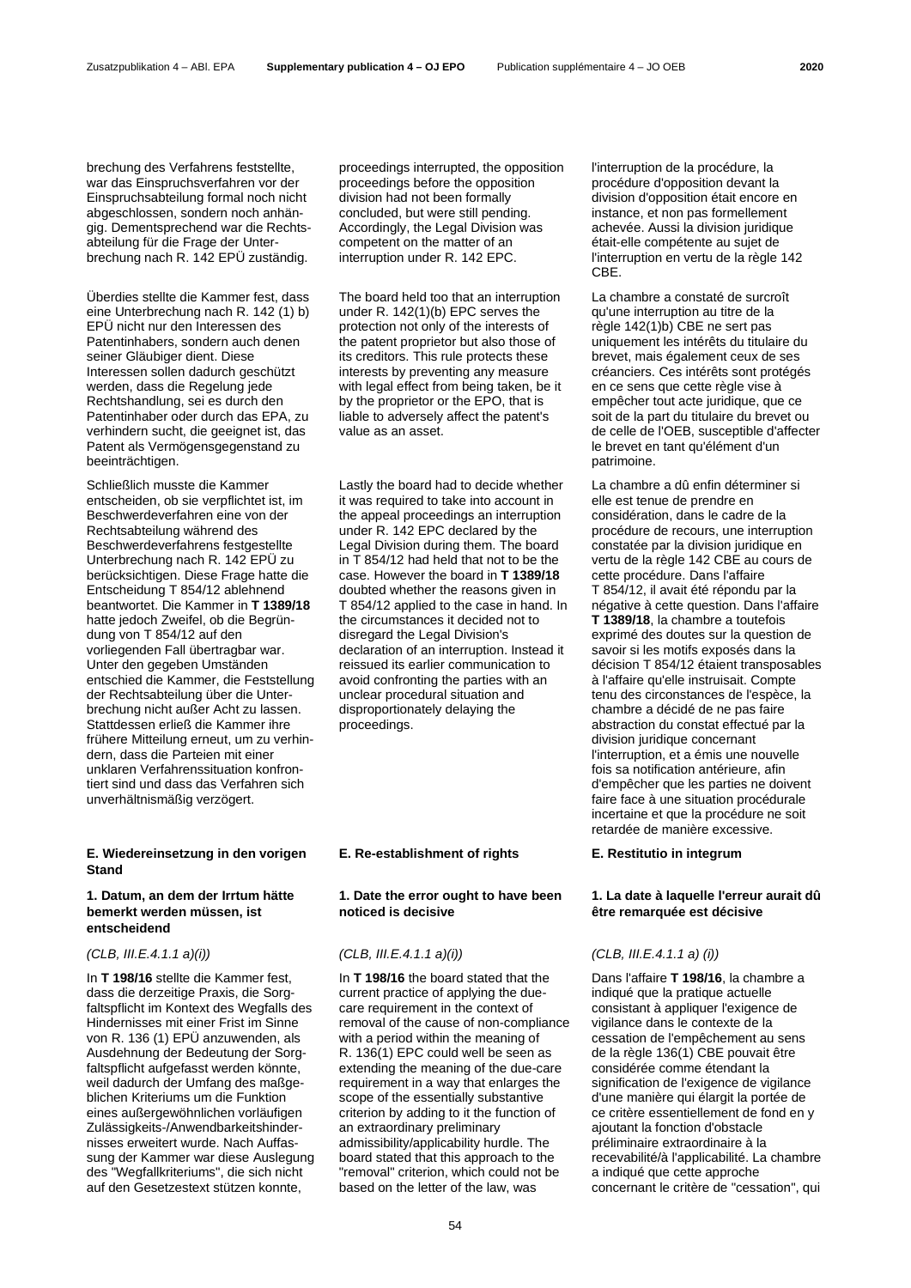brechung des Verfahrens feststellte, war das Einspruchsverfahren vor der Einspruchsabteilung formal noch nicht abgeschlossen, sondern noch anhängig. Dementsprechend war die Rechtsabteilung für die Frage der Unterbrechung nach R. 142 EPÜ zuständig.

Überdies stellte die Kammer fest, dass eine Unterbrechung nach R. 142 (1) b) EPÜ nicht nur den Interessen des Patentinhabers, sondern auch denen seiner Gläubiger dient. Diese Interessen sollen dadurch geschützt werden, dass die Regelung jede Rechtshandlung, sei es durch den Patentinhaber oder durch das EPA, zu verhindern sucht, die geeignet ist, das Patent als Vermögensgegenstand zu beeinträchtigen.

Schließlich musste die Kammer entscheiden, ob sie verpflichtet ist, im Beschwerdeverfahren eine von der Rechtsabteilung während des Beschwerdeverfahrens festgestellte Unterbrechung nach R. 142 EPÜ zu berücksichtigen. Diese Frage hatte die Entscheidung T 854/12 ablehnend beantwortet. Die Kammer in **T 1389/18** hatte jedoch Zweifel, ob die Begründung von T 854/12 auf den vorliegenden Fall übertragbar war. Unter den gegeben Umständen entschied die Kammer, die Feststellung der Rechtsabteilung über die Unterbrechung nicht außer Acht zu lassen. Stattdessen erließ die Kammer ihre frühere Mitteilung erneut, um zu verhindern, dass die Parteien mit einer unklaren Verfahrenssituation konfrontiert sind und dass das Verfahren sich unverhältnismäßig verzögert.

# **E. Wiedereinsetzung in den vorigen Stand**

### **1. Datum, an dem der Irrtum hätte bemerkt werden müssen, ist entscheidend**

In **T 198/16** stellte die Kammer fest, dass die derzeitige Praxis, die Sorgfaltspflicht im Kontext des Wegfalls des Hindernisses mit einer Frist im Sinne von R. 136 (1) EPÜ anzuwenden, als Ausdehnung der Bedeutung der Sorgfaltspflicht aufgefasst werden könnte, weil dadurch der Umfang des maßgeblichen Kriteriums um die Funktion eines außergewöhnlichen vorläufigen Zulässigkeits-/Anwendbarkeitshindernisses erweitert wurde. Nach Auffassung der Kammer war diese Auslegung des "Wegfallkriteriums", die sich nicht auf den Gesetzestext stützen konnte,

proceedings interrupted, the opposition proceedings before the opposition division had not been formally concluded, but were still pending. Accordingly, the Legal Division was competent on the matter of an interruption under R. 142 EPC.

The board held too that an interruption under R. 142(1)(b) EPC serves the protection not only of the interests of the patent proprietor but also those of its creditors. This rule protects these interests by preventing any measure with legal effect from being taken, be it by the proprietor or the EPO, that is liable to adversely affect the patent's value as an asset.

Lastly the board had to decide whether it was required to take into account in the appeal proceedings an interruption under R. 142 EPC declared by the Legal Division during them. The board in T 854/12 had held that not to be the case. However the board in **T 1389/18** doubted whether the reasons given in T 854/12 applied to the case in hand. In the circumstances it decided not to disregard the Legal Division's declaration of an interruption. Instead it reissued its earlier communication to avoid confronting the parties with an unclear procedural situation and disproportionately delaying the proceedings.

### **E. Re-establishment of rights E. Restitutio in integrum**

### **1. Date the error ought to have been noticed is decisive**

### *(CLB, III.E.4.1.1 a)(i)) (CLB, III.E.4.1.1 a)(i)) (CLB, III.E.4.1.1 a) (i))*

In **T 198/16** the board stated that the current practice of applying the duecare requirement in the context of removal of the cause of non-compliance with a period within the meaning of R. 136(1) EPC could well be seen as extending the meaning of the due-care requirement in a way that enlarges the scope of the essentially substantive criterion by adding to it the function of an extraordinary preliminary admissibility/applicability hurdle. The board stated that this approach to the "removal" criterion, which could not be based on the letter of the law, was

l'interruption de la procédure, la procédure d'opposition devant la division d'opposition était encore en instance, et non pas formellement achevée. Aussi la division juridique était-elle compétente au sujet de l'interruption en vertu de la règle 142 CBE.

La chambre a constaté de surcroît qu'une interruption au titre de la règle 142(1)b) CBE ne sert pas uniquement les intérêts du titulaire du brevet, mais également ceux de ses créanciers. Ces intérêts sont protégés en ce sens que cette règle vise à empêcher tout acte juridique, que ce soit de la part du titulaire du brevet ou de celle de l'OEB, susceptible d'affecter le brevet en tant qu'élément d'un patrimoine.

La chambre a dû enfin déterminer si elle est tenue de prendre en considération, dans le cadre de la procédure de recours, une interruption constatée par la division juridique en vertu de la règle 142 CBE au cours de cette procédure. Dans l'affaire T 854/12, il avait été répondu par la négative à cette question. Dans l'affaire **T 1389/18**, la chambre a toutefois exprimé des doutes sur la question de savoir si les motifs exposés dans la décision T 854/12 étaient transposables à l'affaire qu'elle instruisait. Compte tenu des circonstances de l'espèce, la chambre a décidé de ne pas faire abstraction du constat effectué par la division juridique concernant l'interruption, et a émis une nouvelle fois sa notification antérieure, afin d'empêcher que les parties ne doivent faire face à une situation procédurale incertaine et que la procédure ne soit retardée de manière excessive.

### **1. La date à laquelle l'erreur aurait dû être remarquée est décisive**

Dans l'affaire **T 198/16**, la chambre a indiqué que la pratique actuelle consistant à appliquer l'exigence de vigilance dans le contexte de la cessation de l'empêchement au sens de la règle 136(1) CBE pouvait être considérée comme étendant la signification de l'exigence de vigilance d'une manière qui élargit la portée de ce critère essentiellement de fond en y ajoutant la fonction d'obstacle préliminaire extraordinaire à la recevabilité/à l'applicabilité. La chambre a indiqué que cette approche concernant le critère de "cessation", qui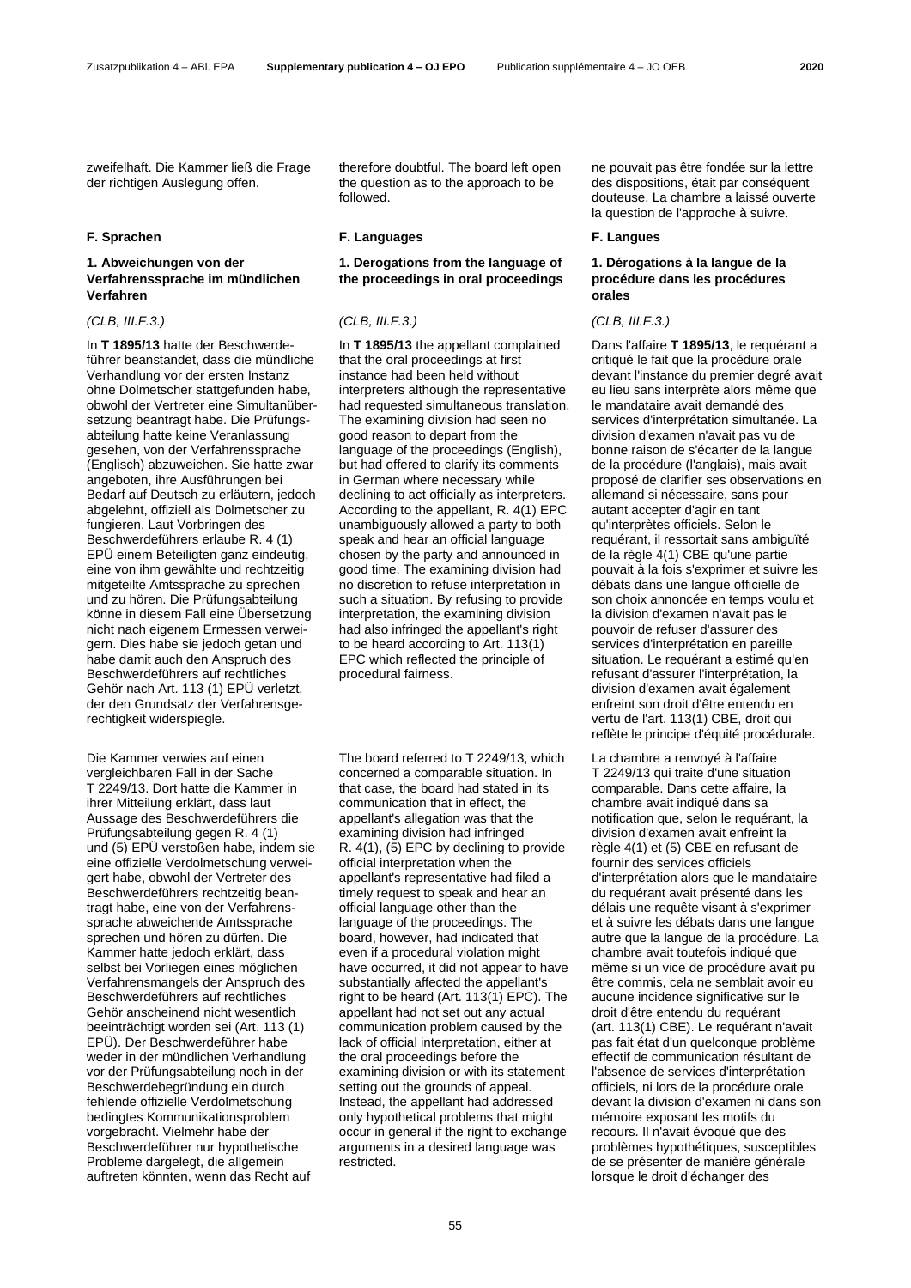zweifelhaft. Die Kammer ließ die Frage der richtigen Auslegung offen.

### **1. Abweichungen von der Verfahrenssprache im mündlichen Verfahren**

In **T 1895/13** hatte der Beschwerdeführer beanstandet, dass die mündliche Verhandlung vor der ersten Instanz ohne Dolmetscher stattgefunden habe, obwohl der Vertreter eine Simultanübersetzung beantragt habe. Die Prüfungsabteilung hatte keine Veranlassung gesehen, von der Verfahrenssprache (Englisch) abzuweichen. Sie hatte zwar angeboten, ihre Ausführungen bei Bedarf auf Deutsch zu erläutern, jedoch abgelehnt, offiziell als Dolmetscher zu fungieren. Laut Vorbringen des Beschwerdeführers erlaube R. 4 (1) EPÜ einem Beteiligten ganz eindeutig, eine von ihm gewählte und rechtzeitig mitgeteilte Amtssprache zu sprechen und zu hören. Die Prüfungsabteilung könne in diesem Fall eine Übersetzung nicht nach eigenem Ermessen verweigern. Dies habe sie jedoch getan und habe damit auch den Anspruch des Beschwerdeführers auf rechtliches Gehör nach Art. 113 (1) EPÜ verletzt, der den Grundsatz der Verfahrensgerechtigkeit widerspiegle.

Die Kammer verwies auf einen vergleichbaren Fall in der Sache T 2249/13. Dort hatte die Kammer in ihrer Mitteilung erklärt, dass laut Aussage des Beschwerdeführers die Prüfungsabteilung gegen R. 4 (1) und (5) EPÜ verstoßen habe, indem sie eine offizielle Verdolmetschung verweigert habe, obwohl der Vertreter des Beschwerdeführers rechtzeitig beantragt habe, eine von der Verfahrenssprache abweichende Amtssprache sprechen und hören zu dürfen. Die Kammer hatte jedoch erklärt, dass selbst bei Vorliegen eines möglichen Verfahrensmangels der Anspruch des Beschwerdeführers auf rechtliches Gehör anscheinend nicht wesentlich beeinträchtigt worden sei (Art. 113 (1) EPÜ). Der Beschwerdeführer habe weder in der mündlichen Verhandlung vor der Prüfungsabteilung noch in der Beschwerdebegründung ein durch fehlende offizielle Verdolmetschung bedingtes Kommunikationsproblem vorgebracht. Vielmehr habe der Beschwerdeführer nur hypothetische Probleme dargelegt, die allgemein auftreten könnten, wenn das Recht auf

therefore doubtful. The board left open the question as to the approach to be followed.

### **F. Sprachen F. Languages F. Langues**

# **1. Derogations from the language of the proceedings in oral proceedings**

### *(CLB, III.F.3.) (CLB, III.F.3.) (CLB, III.F.3.)*

In **T 1895/13** the appellant complained that the oral proceedings at first instance had been held without interpreters although the representative had requested simultaneous translation. The examining division had seen no good reason to depart from the language of the proceedings (English), but had offered to clarify its comments in German where necessary while declining to act officially as interpreters. According to the appellant, R. 4(1) EPC unambiguously allowed a party to both speak and hear an official language chosen by the party and announced in good time. The examining division had no discretion to refuse interpretation in such a situation. By refusing to provide interpretation, the examining division had also infringed the appellant's right to be heard according to Art. 113(1) EPC which reflected the principle of procedural fairness.

The board referred to T 2249/13, which concerned a comparable situation. In that case, the board had stated in its communication that in effect, the appellant's allegation was that the examining division had infringed R. 4(1), (5) EPC by declining to provide official interpretation when the appellant's representative had filed a timely request to speak and hear an official language other than the language of the proceedings. The board, however, had indicated that even if a procedural violation might have occurred, it did not appear to have substantially affected the appellant's right to be heard (Art. 113(1) EPC). The appellant had not set out any actual communication problem caused by the lack of official interpretation, either at the oral proceedings before the examining division or with its statement setting out the grounds of appeal. Instead, the appellant had addressed only hypothetical problems that might occur in general if the right to exchange arguments in a desired language was restricted.

ne pouvait pas être fondée sur la lettre des dispositions, était par conséquent douteuse. La chambre a laissé ouverte la question de l'approche à suivre.

# **1. Dérogations à la langue de la procédure dans les procédures orales**

Dans l'affaire **T 1895/13**, le requérant a critiqué le fait que la procédure orale devant l'instance du premier degré avait eu lieu sans interprète alors même que le mandataire avait demandé des services d'interprétation simultanée. La division d'examen n'avait pas vu de bonne raison de s'écarter de la langue de la procédure (l'anglais), mais avait proposé de clarifier ses observations en allemand si nécessaire, sans pour autant accepter d'agir en tant qu'interprètes officiels. Selon le requérant, il ressortait sans ambiguïté de la règle 4(1) CBE qu'une partie pouvait à la fois s'exprimer et suivre les débats dans une langue officielle de son choix annoncée en temps voulu et la division d'examen n'avait pas le pouvoir de refuser d'assurer des services d'interprétation en pareille situation. Le requérant a estimé qu'en refusant d'assurer l'interprétation, la division d'examen avait également enfreint son droit d'être entendu en vertu de l'art. 113(1) CBE, droit qui reflète le principe d'équité procédurale.

La chambre a renvoyé à l'affaire T 2249/13 qui traite d'une situation comparable. Dans cette affaire, la chambre avait indiqué dans sa notification que, selon le requérant, la division d'examen avait enfreint la règle 4(1) et (5) CBE en refusant de fournir des services officiels d'interprétation alors que le mandataire du requérant avait présenté dans les délais une requête visant à s'exprimer et à suivre les débats dans une langue autre que la langue de la procédure. La chambre avait toutefois indiqué que même si un vice de procédure avait pu être commis, cela ne semblait avoir eu aucune incidence significative sur le droit d'être entendu du requérant (art. 113(1) CBE). Le requérant n'avait pas fait état d'un quelconque problème effectif de communication résultant de l'absence de services d'interprétation officiels, ni lors de la procédure orale devant la division d'examen ni dans son mémoire exposant les motifs du recours. Il n'avait évoqué que des problèmes hypothétiques, susceptibles de se présenter de manière générale lorsque le droit d'échanger des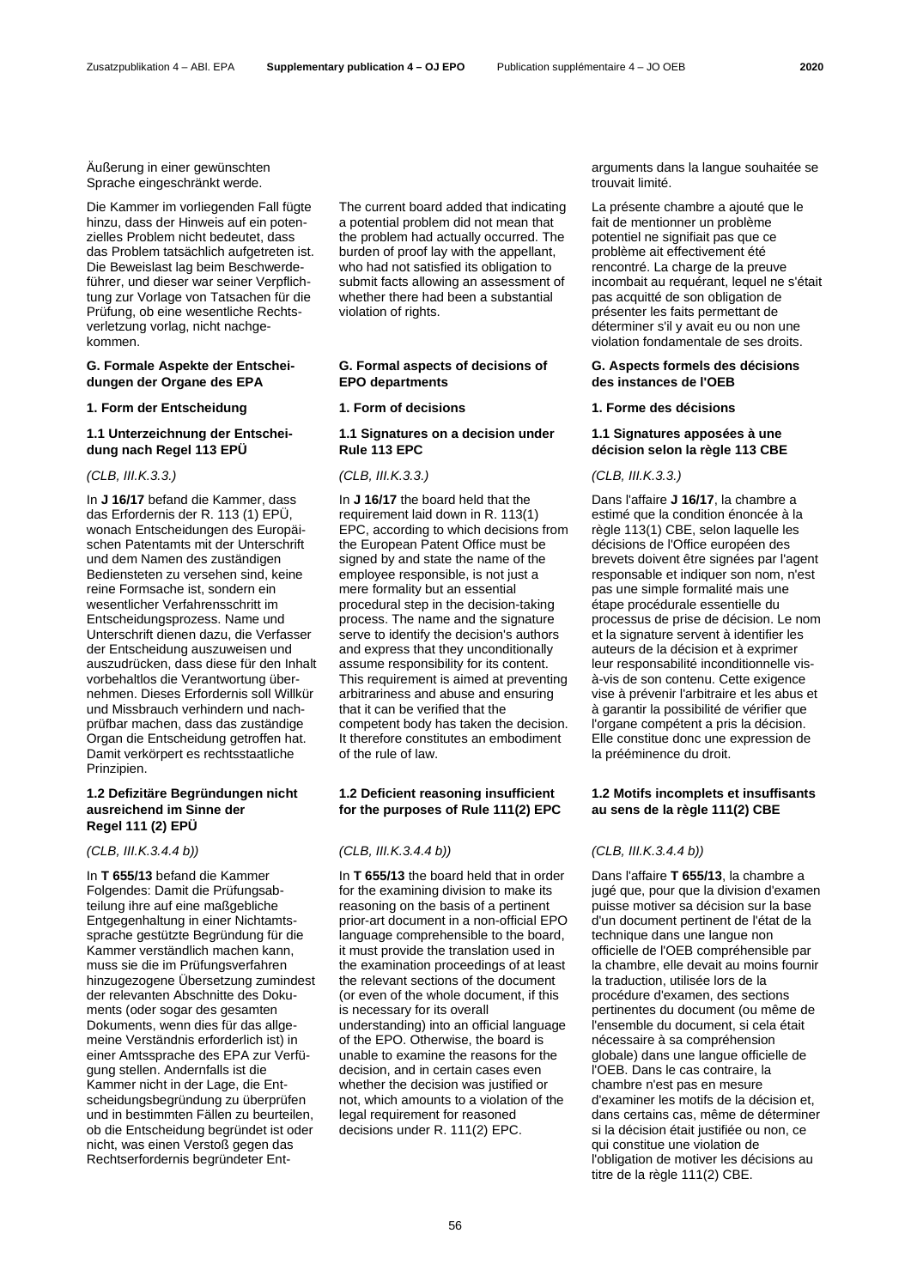Äußerung in einer gewünschten Sprache eingeschränkt werde.

Die Kammer im vorliegenden Fall fügte hinzu, dass der Hinweis auf ein potenzielles Problem nicht bedeutet, dass das Problem tatsächlich aufgetreten ist. Die Beweislast lag beim Beschwerdeführer, und dieser war seiner Verpflichtung zur Vorlage von Tatsachen für die Prüfung, ob eine wesentliche Rechtsverletzung vorlag, nicht nachgekommen.

### **G. Formale Aspekte der Entscheidungen der Organe des EPA**

### **1. Form der Entscheidung 1. Form of decisions 1. Forme des décisions**

### **1.1 Unterzeichnung der Entscheidung nach Regel 113 EPÜ**

In **J 16/17** befand die Kammer, dass das Erfordernis der R. 113 (1) EPÜ, wonach Entscheidungen des Europäischen Patentamts mit der Unterschrift und dem Namen des zuständigen Bediensteten zu versehen sind, keine reine Formsache ist, sondern ein wesentlicher Verfahrensschritt im Entscheidungsprozess. Name und Unterschrift dienen dazu, die Verfasser der Entscheidung auszuweisen und auszudrücken, dass diese für den Inhalt vorbehaltlos die Verantwortung übernehmen. Dieses Erfordernis soll Willkür und Missbrauch verhindern und nachprüfbar machen, dass das zuständige Organ die Entscheidung getroffen hat. Damit verkörpert es rechtsstaatliche Prinzipien.

### **1.2 Defizitäre Begründungen nicht ausreichend im Sinne der Regel 111 (2) EPÜ**

In **T 655/13** befand die Kammer Folgendes: Damit die Prüfungsabteilung ihre auf eine maßgebliche Entgegenhaltung in einer Nichtamtssprache gestützte Begründung für die Kammer verständlich machen kann, muss sie die im Prüfungsverfahren hinzugezogene Übersetzung zumindest der relevanten Abschnitte des Dokuments (oder sogar des gesamten Dokuments, wenn dies für das allgemeine Verständnis erforderlich ist) in einer Amtssprache des EPA zur Verfügung stellen. Andernfalls ist die Kammer nicht in der Lage, die Entscheidungsbegründung zu überprüfen und in bestimmten Fällen zu beurteilen, ob die Entscheidung begründet ist oder nicht, was einen Verstoß gegen das Rechtserfordernis begründeter EntThe current board added that indicating a potential problem did not mean that the problem had actually occurred. The burden of proof lay with the appellant, who had not satisfied its obligation to submit facts allowing an assessment of whether there had been a substantial violation of rights.

### **G. Formal aspects of decisions of EPO departments**

### **1.1 Signatures on a decision under Rule 113 EPC**

### *(CLB, III.K.3.3.) (CLB, III.K.3.3.) (CLB, III.K.3.3.)*

In **J 16/17** the board held that the requirement laid down in R. 113(1) EPC, according to which decisions from the European Patent Office must be signed by and state the name of the employee responsible, is not just a mere formality but an essential procedural step in the decision-taking process. The name and the signature serve to identify the decision's authors and express that they unconditionally assume responsibility for its content. This requirement is aimed at preventing arbitrariness and abuse and ensuring that it can be verified that the competent body has taken the decision. It therefore constitutes an embodiment of the rule of law.

### **1.2 Deficient reasoning insufficient for the purposes of Rule 111(2) EPC**

In **T 655/13** the board held that in order for the examining division to make its reasoning on the basis of a pertinent prior-art document in a non-official EPO language comprehensible to the board, it must provide the translation used in the examination proceedings of at least the relevant sections of the document (or even of the whole document, if this is necessary for its overall understanding) into an official language of the EPO. Otherwise, the board is unable to examine the reasons for the decision, and in certain cases even whether the decision was justified or not, which amounts to a violation of the legal requirement for reasoned decisions under R. 111(2) EPC.

arguments dans la langue souhaitée se trouvait limité.

La présente chambre a ajouté que le fait de mentionner un problème potentiel ne signifiait pas que ce problème ait effectivement été rencontré. La charge de la preuve incombait au requérant, lequel ne s'était pas acquitté de son obligation de présenter les faits permettant de déterminer s'il y avait eu ou non une violation fondamentale de ses droits.

### **G. Aspects formels des décisions des instances de l'OEB**

### **1.1 Signatures apposées à une décision selon la règle 113 CBE**

Dans l'affaire **J 16/17**, la chambre a estimé que la condition énoncée à la règle 113(1) CBE, selon laquelle les décisions de l'Office européen des brevets doivent être signées par l'agent responsable et indiquer son nom, n'est pas une simple formalité mais une étape procédurale essentielle du processus de prise de décision. Le nom et la signature servent à identifier les auteurs de la décision et à exprimer leur responsabilité inconditionnelle visà-vis de son contenu. Cette exigence vise à prévenir l'arbitraire et les abus et à garantir la possibilité de vérifier que l'organe compétent a pris la décision. Elle constitue donc une expression de la prééminence du droit.

# **1.2 Motifs incomplets et insuffisants au sens de la règle 111(2) CBE**

### *(CLB, III.K.3.4.4 b)) (CLB, III.K.3.4.4 b)) (CLB, III.K.3.4.4 b))*

Dans l'affaire **T 655/13**, la chambre a jugé que, pour que la division d'examen puisse motiver sa décision sur la base d'un document pertinent de l'état de la technique dans une langue non officielle de l'OEB compréhensible par la chambre, elle devait au moins fournir la traduction, utilisée lors de la procédure d'examen, des sections pertinentes du document (ou même de l'ensemble du document, si cela était nécessaire à sa compréhension globale) dans une langue officielle de l'OEB. Dans le cas contraire, la chambre n'est pas en mesure d'examiner les motifs de la décision et, dans certains cas, même de déterminer si la décision était justifiée ou non, ce qui constitue une violation de l'obligation de motiver les décisions au titre de la règle 111(2) CBE.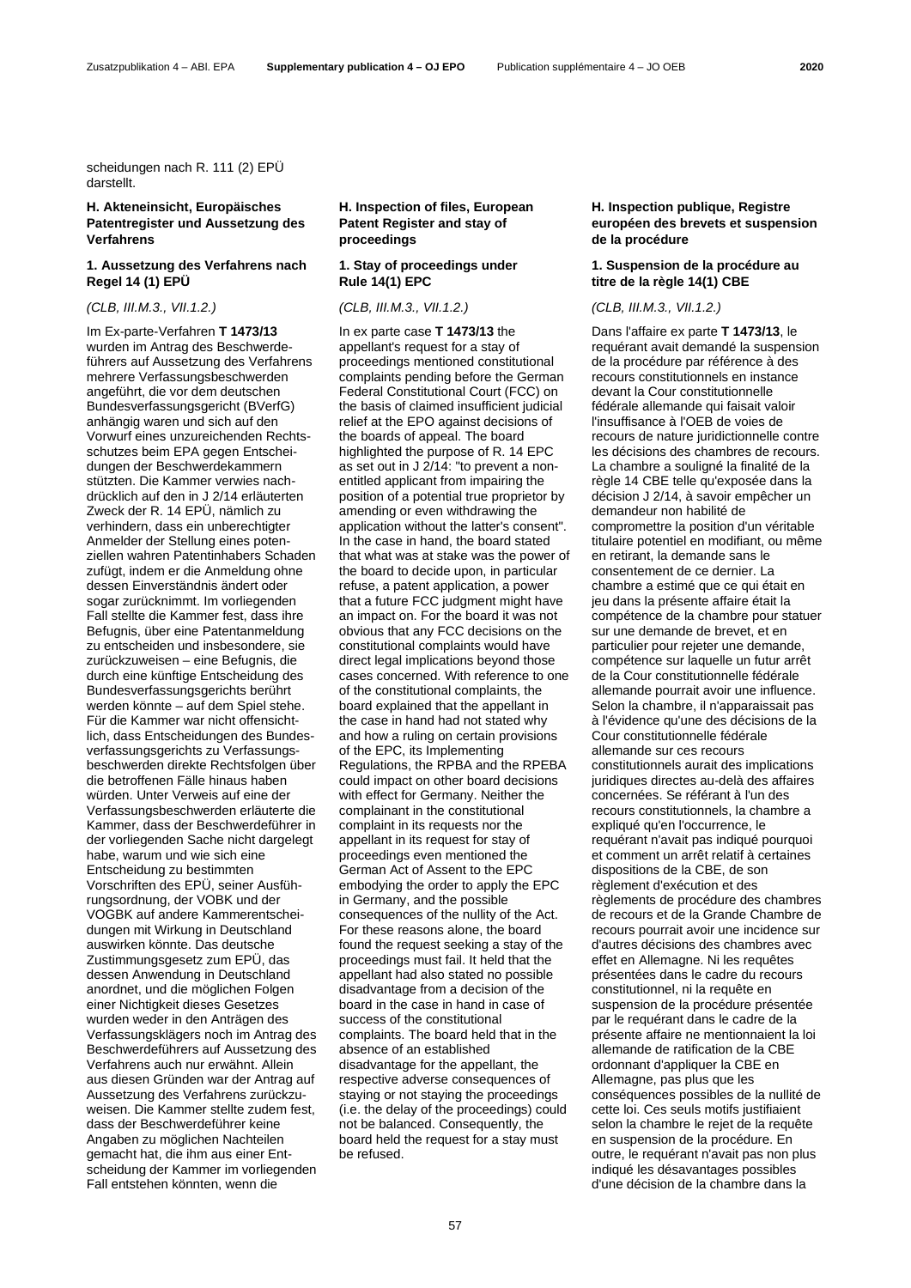scheidungen nach R. 111 (2) EPÜ darstellt.

# **H. Akteneinsicht, Europäisches Patentregister und Aussetzung des Verfahrens**

# **1. Aussetzung des Verfahrens nach Regel 14 (1) EPÜ**

Im Ex-parte-Verfahren **T 1473/13** wurden im Antrag des Beschwerdeführers auf Aussetzung des Verfahrens mehrere Verfassungsbeschwerden angeführt, die vor dem deutschen Bundesverfassungsgericht (BVerfG) anhängig waren und sich auf den Vorwurf eines unzureichenden Rechtsschutzes beim EPA gegen Entscheidungen der Beschwerdekammern stützten. Die Kammer verwies nachdrücklich auf den in J 2/14 erläuterten Zweck der R. 14 EPÜ, nämlich zu verhindern, dass ein unberechtigter Anmelder der Stellung eines potenziellen wahren Patentinhabers Schaden zufügt, indem er die Anmeldung ohne dessen Einverständnis ändert oder sogar zurücknimmt. Im vorliegenden Fall stellte die Kammer fest, dass ihre Befugnis, über eine Patentanmeldung zu entscheiden und insbesondere, sie zurückzuweisen – eine Befugnis, die durch eine künftige Entscheidung des Bundesverfassungsgerichts berührt werden könnte – auf dem Spiel stehe. Für die Kammer war nicht offensichtlich, dass Entscheidungen des Bundesverfassungsgerichts zu Verfassungsbeschwerden direkte Rechtsfolgen über die betroffenen Fälle hinaus haben würden. Unter Verweis auf eine der Verfassungsbeschwerden erläuterte die Kammer, dass der Beschwerdeführer in der vorliegenden Sache nicht dargelegt habe, warum und wie sich eine Entscheidung zu bestimmten Vorschriften des EPÜ, seiner Ausführungsordnung, der VOBK und der VOGBK auf andere Kammerentscheidungen mit Wirkung in Deutschland auswirken könnte. Das deutsche Zustimmungsgesetz zum EPÜ, das dessen Anwendung in Deutschland anordnet, und die möglichen Folgen einer Nichtigkeit dieses Gesetzes wurden weder in den Anträgen des Verfassungsklägers noch im Antrag des Beschwerdeführers auf Aussetzung des Verfahrens auch nur erwähnt. Allein aus diesen Gründen war der Antrag auf Aussetzung des Verfahrens zurückzuweisen. Die Kammer stellte zudem fest, dass der Beschwerdeführer keine Angaben zu möglichen Nachteilen gemacht hat, die ihm aus einer Entscheidung der Kammer im vorliegenden Fall entstehen könnten, wenn die

# **H. Inspection of files, European Patent Register and stay of proceedings**

# **1. Stay of proceedings under Rule 14(1) EPC**

In ex parte case **T 1473/13** the appellant's request for a stay of proceedings mentioned constitutional complaints pending before the German Federal Constitutional Court (FCC) on the basis of claimed insufficient judicial relief at the EPO against decisions of the boards of appeal. The board highlighted the purpose of R. 14 EPC as set out in J 2/14: "to prevent a nonentitled applicant from impairing the position of a potential true proprietor by amending or even withdrawing the application without the latter's consent". In the case in hand, the board stated that what was at stake was the power of the board to decide upon, in particular refuse, a patent application, a power that a future FCC judgment might have an impact on. For the board it was not obvious that any FCC decisions on the constitutional complaints would have direct legal implications beyond those cases concerned. With reference to one of the constitutional complaints, the board explained that the appellant in the case in hand had not stated why and how a ruling on certain provisions of the EPC, its Implementing Regulations, the RPBA and the RPEBA could impact on other board decisions with effect for Germany. Neither the complainant in the constitutional complaint in its requests nor the appellant in its request for stay of proceedings even mentioned the German Act of Assent to the EPC embodying the order to apply the EPC in Germany, and the possible consequences of the nullity of the Act. For these reasons alone, the board found the request seeking a stay of the proceedings must fail. It held that the appellant had also stated no possible disadvantage from a decision of the board in the case in hand in case of success of the constitutional complaints. The board held that in the absence of an established disadvantage for the appellant, the respective adverse consequences of staying or not staying the proceedings (i.e. the delay of the proceedings) could not be balanced. Consequently, the board held the request for a stay must be refused.

# **H. Inspection publique, Registre européen des brevets et suspension de la procédure**

### **1. Suspension de la procédure au titre de la règle 14(1) CBE**

### *(CLB, III.M.3., VII.1.2.) (CLB, III.M.3., VII.1.2.) (CLB, III.M.3., VII.1.2.)*

Dans l'affaire ex parte **T 1473/13**, le requérant avait demandé la suspension de la procédure par référence à des recours constitutionnels en instance devant la Cour constitutionnelle fédérale allemande qui faisait valoir l'insuffisance à l'OEB de voies de recours de nature juridictionnelle contre les décisions des chambres de recours. La chambre a souligné la finalité de la règle 14 CBE telle qu'exposée dans la décision J 2/14, à savoir empêcher un demandeur non habilité de compromettre la position d'un véritable titulaire potentiel en modifiant, ou même en retirant, la demande sans le consentement de ce dernier. La chambre a estimé que ce qui était en jeu dans la présente affaire était la compétence de la chambre pour statuer sur une demande de brevet, et en particulier pour rejeter une demande, compétence sur laquelle un futur arrêt de la Cour constitutionnelle fédérale allemande pourrait avoir une influence. Selon la chambre, il n'apparaissait pas à l'évidence qu'une des décisions de la Cour constitutionnelle fédérale allemande sur ces recours constitutionnels aurait des implications juridiques directes au-delà des affaires concernées. Se référant à l'un des recours constitutionnels, la chambre a expliqué qu'en l'occurrence, le requérant n'avait pas indiqué pourquoi et comment un arrêt relatif à certaines dispositions de la CBE, de son règlement d'exécution et des règlements de procédure des chambres de recours et de la Grande Chambre de recours pourrait avoir une incidence sur d'autres décisions des chambres avec effet en Allemagne. Ni les requêtes présentées dans le cadre du recours constitutionnel, ni la requête en suspension de la procédure présentée par le requérant dans le cadre de la présente affaire ne mentionnaient la loi allemande de ratification de la CBE ordonnant d'appliquer la CBE en Allemagne, pas plus que les conséquences possibles de la nullité de cette loi. Ces seuls motifs justifiaient selon la chambre le rejet de la requête en suspension de la procédure. En outre, le requérant n'avait pas non plus indiqué les désavantages possibles d'une décision de la chambre dans la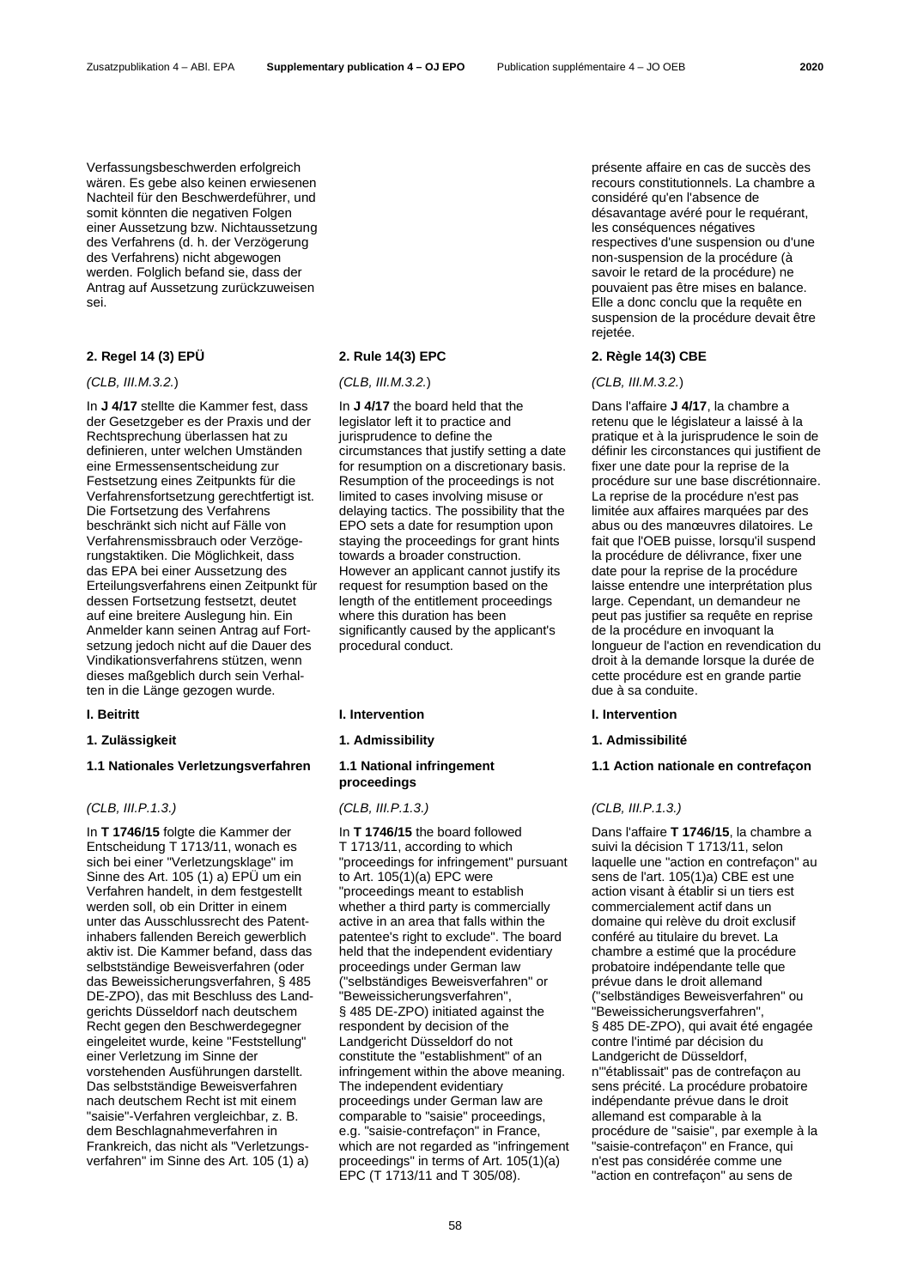Verfassungsbeschwerden erfolgreich wären. Es gebe also keinen erwiesenen Nachteil für den Beschwerdeführer, und somit könnten die negativen Folgen einer Aussetzung bzw. Nichtaussetzung des Verfahrens (d. h. der Verzögerung des Verfahrens) nicht abgewogen werden. Folglich befand sie, dass der Antrag auf Aussetzung zurückzuweisen sei.

# **2. Regel 14 (3) EPÜ 2. Rule 14(3) EPC 2. Règle 14(3) CBE**

### *(CLB, III.M.3.2.*) *(CLB, III.M.3.2.*) *(CLB, III.M.3.2.*)

In **J 4/17** stellte die Kammer fest, dass der Gesetzgeber es der Praxis und der Rechtsprechung überlassen hat zu definieren, unter welchen Umständen eine Ermessensentscheidung zur Festsetzung eines Zeitpunkts für die Verfahrensfortsetzung gerechtfertigt ist. Die Fortsetzung des Verfahrens beschränkt sich nicht auf Fälle von Verfahrensmissbrauch oder Verzögerungstaktiken. Die Möglichkeit, dass das EPA bei einer Aussetzung des Erteilungsverfahrens einen Zeitpunkt für dessen Fortsetzung festsetzt, deutet auf eine breitere Auslegung hin. Ein Anmelder kann seinen Antrag auf Fortsetzung jedoch nicht auf die Dauer des Vindikationsverfahrens stützen, wenn dieses maßgeblich durch sein Verhalten in die Länge gezogen wurde.

# **1.1 Nationales Verletzungsverfahren 1.1 National infringement**

In **T 1746/15** folgte die Kammer der Entscheidung T 1713/11, wonach es sich bei einer "Verletzungsklage" im Sinne des Art. 105 (1) a) EPÜ um ein Verfahren handelt, in dem festgestellt werden soll, ob ein Dritter in einem unter das Ausschlussrecht des Patentinhabers fallenden Bereich gewerblich aktiv ist. Die Kammer befand, dass das selbstständige Beweisverfahren (oder das Beweissicherungsverfahren, § 485 DE-ZPO), das mit Beschluss des Landgerichts Düsseldorf nach deutschem Recht gegen den Beschwerdegegner eingeleitet wurde, keine "Feststellung" einer Verletzung im Sinne der vorstehenden Ausführungen darstellt. Das selbstständige Beweisverfahren nach deutschem Recht ist mit einem "saisie"-Verfahren vergleichbar, z. B. dem Beschlagnahmeverfahren in Frankreich, das nicht als "Verletzungsverfahren" im Sinne des Art. 105 (1) a)

In **J 4/17** the board held that the legislator left it to practice and jurisprudence to define the circumstances that justify setting a date for resumption on a discretionary basis. Resumption of the proceedings is not limited to cases involving misuse or delaying tactics. The possibility that the EPO sets a date for resumption upon staying the proceedings for grant hints towards a broader construction. However an applicant cannot justify its request for resumption based on the length of the entitlement proceedings where this duration has been significantly caused by the applicant's procedural conduct.

### **I. Beitritt I. Intervention I. Intervention**

# **proceedings**

### *(CLB, III.P.1.3.) (CLB, III.P.1.3.) (CLB, III.P.1.3.)*

In **T 1746/15** the board followed T 1713/11, according to which "proceedings for infringement" pursuant to Art. 105(1)(a) EPC were "proceedings meant to establish whether a third party is commercially active in an area that falls within the patentee's right to exclude". The board held that the independent evidentiary proceedings under German law ("selbständiges Beweisverfahren" or "Beweissicherungsverfahren", § 485 DE-ZPO) initiated against the respondent by decision of the Landgericht Düsseldorf do not constitute the "establishment" of an infringement within the above meaning. The independent evidentiary proceedings under German law are comparable to "saisie" proceedings, e.g. "saisie-contrefaçon" in France, which are not regarded as "infringement proceedings" in terms of Art. 105(1)(a) EPC (T 1713/11 and T 305/08).

présente affaire en cas de succès des recours constitutionnels. La chambre a considéré qu'en l'absence de désavantage avéré pour le requérant, les conséquences négatives respectives d'une suspension ou d'une non-suspension de la procédure (à savoir le retard de la procédure) ne pouvaient pas être mises en balance. Elle a donc conclu que la requête en suspension de la procédure devait être rejetée.

Dans l'affaire **J 4/17**, la chambre a retenu que le législateur a laissé à la pratique et à la jurisprudence le soin de définir les circonstances qui justifient de fixer une date pour la reprise de la procédure sur une base discrétionnaire. La reprise de la procédure n'est pas limitée aux affaires marquées par des abus ou des manœuvres dilatoires. Le fait que l'OEB puisse, lorsqu'il suspend la procédure de délivrance, fixer une date pour la reprise de la procédure laisse entendre une interprétation plus large. Cependant, un demandeur ne peut pas justifier sa requête en reprise de la procédure en invoquant la longueur de l'action en revendication du droit à la demande lorsque la durée de cette procédure est en grande partie due à sa conduite.

### **1. Zulässigkeit 1. Admissibility 1. Admissibilité**

### **1.1 Action nationale en contrefaçon**

Dans l'affaire **T 1746/15**, la chambre a suivi la décision T 1713/11, selon laquelle une "action en contrefaçon" au sens de l'art. 105(1)a) CBE est une action visant à établir si un tiers est commercialement actif dans un domaine qui relève du droit exclusif conféré au titulaire du brevet. La chambre a estimé que la procédure probatoire indépendante telle que prévue dans le droit allemand ("selbständiges Beweisverfahren" ou "Beweissicherungsverfahren", § 485 DE-ZPO), qui avait été engagée contre l'intimé par décision du Landgericht de Düsseldorf, n'"établissait" pas de contrefaçon au sens précité. La procédure probatoire indépendante prévue dans le droit allemand est comparable à la procédure de "saisie", par exemple à la "saisie-contrefaçon" en France, qui n'est pas considérée comme une "action en contrefaçon" au sens de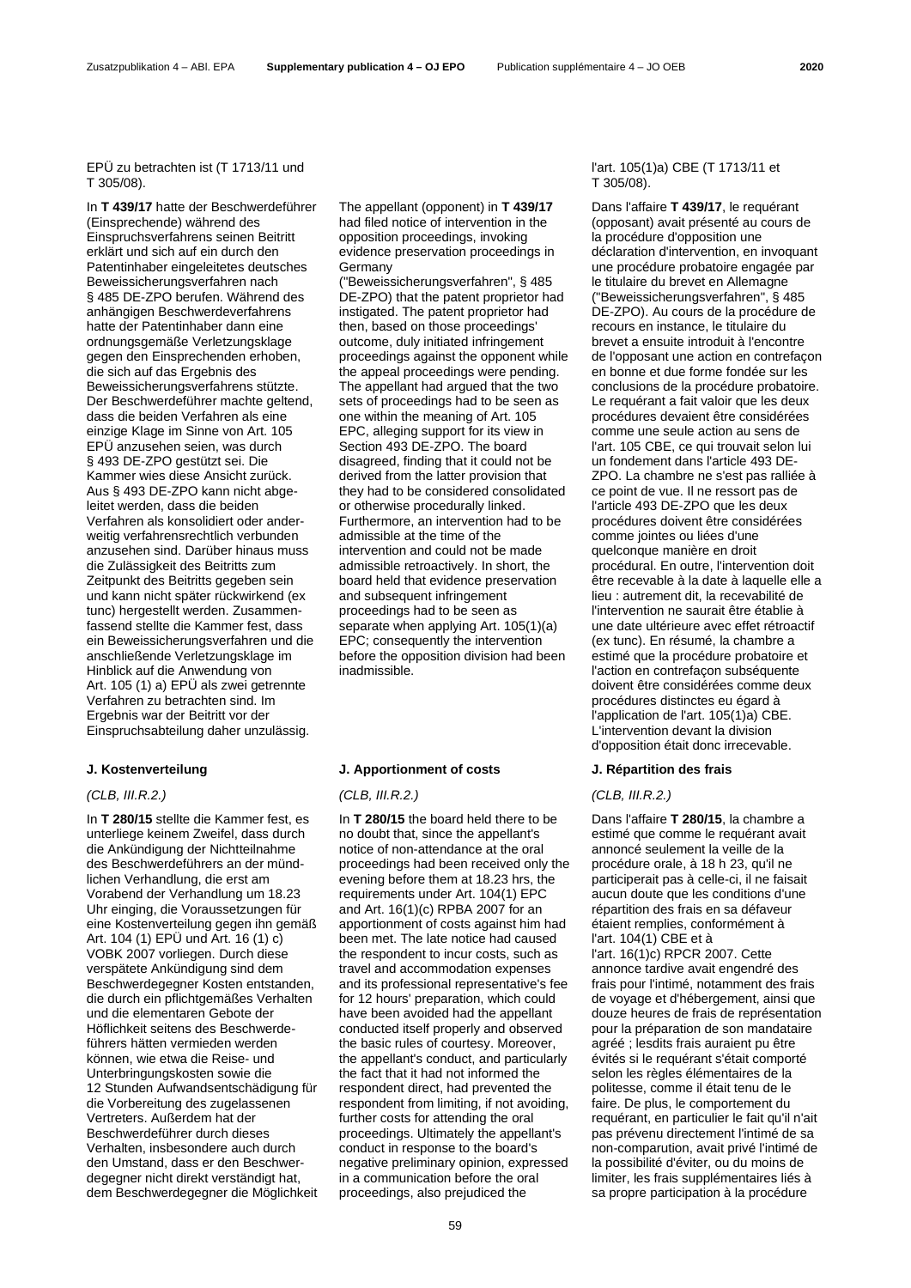### EPÜ zu betrachten ist (T 1713/11 und T 305/08).

In **T 439/17** hatte der Beschwerdeführer (Einsprechende) während des Einspruchsverfahrens seinen Beitritt erklärt und sich auf ein durch den Patentinhaber eingeleitetes deutsches Beweissicherungsverfahren nach § 485 DE-ZPO berufen. Während des anhängigen Beschwerdeverfahrens hatte der Patentinhaber dann eine ordnungsgemäße Verletzungsklage gegen den Einsprechenden erhoben, die sich auf das Ergebnis des Beweissicherungsverfahrens stützte. Der Beschwerdeführer machte geltend, dass die beiden Verfahren als eine einzige Klage im Sinne von Art. 105 EPÜ anzusehen seien, was durch § 493 DE-ZPO gestützt sei. Die Kammer wies diese Ansicht zurück. Aus § 493 DE-ZPO kann nicht abgeleitet werden, dass die beiden Verfahren als konsolidiert oder anderweitig verfahrensrechtlich verbunden anzusehen sind. Darüber hinaus muss die Zulässigkeit des Beitritts zum Zeitpunkt des Beitritts gegeben sein und kann nicht später rückwirkend (ex tunc) hergestellt werden. Zusammenfassend stellte die Kammer fest, dass ein Beweissicherungsverfahren und die anschließende Verletzungsklage im Hinblick auf die Anwendung von Art. 105 (1) a) EPÜ als zwei getrennte Verfahren zu betrachten sind. Im Ergebnis war der Beitritt vor der Einspruchsabteilung daher unzulässig.

In **T 280/15** stellte die Kammer fest, es unterliege keinem Zweifel, dass durch die Ankündigung der Nichtteilnahme des Beschwerdeführers an der mündlichen Verhandlung, die erst am Vorabend der Verhandlung um 18.23 Uhr einging, die Voraussetzungen für eine Kostenverteilung gegen ihn gemäß Art. 104 (1) EPÜ und Art. 16 (1) c) VOBK 2007 vorliegen. Durch diese verspätete Ankündigung sind dem Beschwerdegegner Kosten entstanden, die durch ein pflichtgemäßes Verhalten und die elementaren Gebote der Höflichkeit seitens des Beschwerdeführers hätten vermieden werden können, wie etwa die Reise- und Unterbringungskosten sowie die 12 Stunden Aufwandsentschädigung für die Vorbereitung des zugelassenen Vertreters. Außerdem hat der Beschwerdeführer durch dieses Verhalten, insbesondere auch durch den Umstand, dass er den Beschwerdegegner nicht direkt verständigt hat, dem Beschwerdegegner die Möglichkeit The appellant (opponent) in **T 439/17** had filed notice of intervention in the opposition proceedings, invoking evidence preservation proceedings in Germany

("Beweissicherungsverfahren", § 485 DE-ZPO) that the patent proprietor had instigated. The patent proprietor had then, based on those proceedings' outcome, duly initiated infringement proceedings against the opponent while the appeal proceedings were pending. The appellant had argued that the two sets of proceedings had to be seen as one within the meaning of Art. 105 EPC, alleging support for its view in Section 493 DE-ZPO. The board disagreed, finding that it could not be derived from the latter provision that they had to be considered consolidated or otherwise procedurally linked. Furthermore, an intervention had to be admissible at the time of the intervention and could not be made admissible retroactively. In short, the board held that evidence preservation and subsequent infringement proceedings had to be seen as separate when applying Art. 105(1)(a) EPC; consequently the intervention before the opposition division had been inadmissible.

### **J. Kostenverteilung J. Apportionment of costs J. Répartition des frais**

In **T 280/15** the board held there to be no doubt that, since the appellant's notice of non-attendance at the oral proceedings had been received only the evening before them at 18.23 hrs, the requirements under Art. 104(1) EPC and Art. 16(1)(c) RPBA 2007 for an apportionment of costs against him had been met. The late notice had caused the respondent to incur costs, such as travel and accommodation expenses and its professional representative's fee for 12 hours' preparation, which could have been avoided had the appellant conducted itself properly and observed the basic rules of courtesy. Moreover, the appellant's conduct, and particularly the fact that it had not informed the respondent direct, had prevented the respondent from limiting, if not avoiding, further costs for attending the oral proceedings. Ultimately the appellant's conduct in response to the board's negative preliminary opinion, expressed in a communication before the oral proceedings, also prejudiced the

### l'art. 105(1)a) CBE (T 1713/11 et T 305/08).

Dans l'affaire **T 439/17**, le requérant (opposant) avait présenté au cours de la procédure d'opposition une déclaration d'intervention, en invoquant une procédure probatoire engagée par le titulaire du brevet en Allemagne ("Beweissicherungsverfahren", § 485 DE-ZPO). Au cours de la procédure de recours en instance, le titulaire du brevet a ensuite introduit à l'encontre de l'opposant une action en contrefaçon en bonne et due forme fondée sur les conclusions de la procédure probatoire. Le requérant a fait valoir que les deux procédures devaient être considérées comme une seule action au sens de l'art. 105 CBE, ce qui trouvait selon lui un fondement dans l'article 493 DE-ZPO. La chambre ne s'est pas ralliée à ce point de vue. Il ne ressort pas de l'article 493 DE-ZPO que les deux procédures doivent être considérées comme jointes ou liées d'une quelconque manière en droit procédural. En outre, l'intervention doit être recevable à la date à laquelle elle a lieu : autrement dit, la recevabilité de l'intervention ne saurait être établie à une date ultérieure avec effet rétroactif (ex tunc). En résumé, la chambre a estimé que la procédure probatoire et l'action en contrefaçon subséquente doivent être considérées comme deux procédures distinctes eu égard à l'application de l'art. 105(1)a) CBE. L'intervention devant la division d'opposition était donc irrecevable.

### *(CLB, III.R.2.) (CLB, III.R.2.) (CLB, III.R.2.)*

Dans l'affaire **T 280/15**, la chambre a estimé que comme le requérant avait annoncé seulement la veille de la procédure orale, à 18 h 23, qu'il ne participerait pas à celle-ci, il ne faisait aucun doute que les conditions d'une répartition des frais en sa défaveur étaient remplies, conformément à l'art. 104(1) CBE et à l'art. 16(1)c) RPCR 2007. Cette annonce tardive avait engendré des frais pour l'intimé, notamment des frais de voyage et d'hébergement, ainsi que douze heures de frais de représentation pour la préparation de son mandataire agréé ; lesdits frais auraient pu être évités si le requérant s'était comporté selon les règles élémentaires de la politesse, comme il était tenu de le faire. De plus, le comportement du requérant, en particulier le fait qu'il n'ait pas prévenu directement l'intimé de sa non-comparution, avait privé l'intimé de la possibilité d'éviter, ou du moins de limiter, les frais supplémentaires liés à sa propre participation à la procédure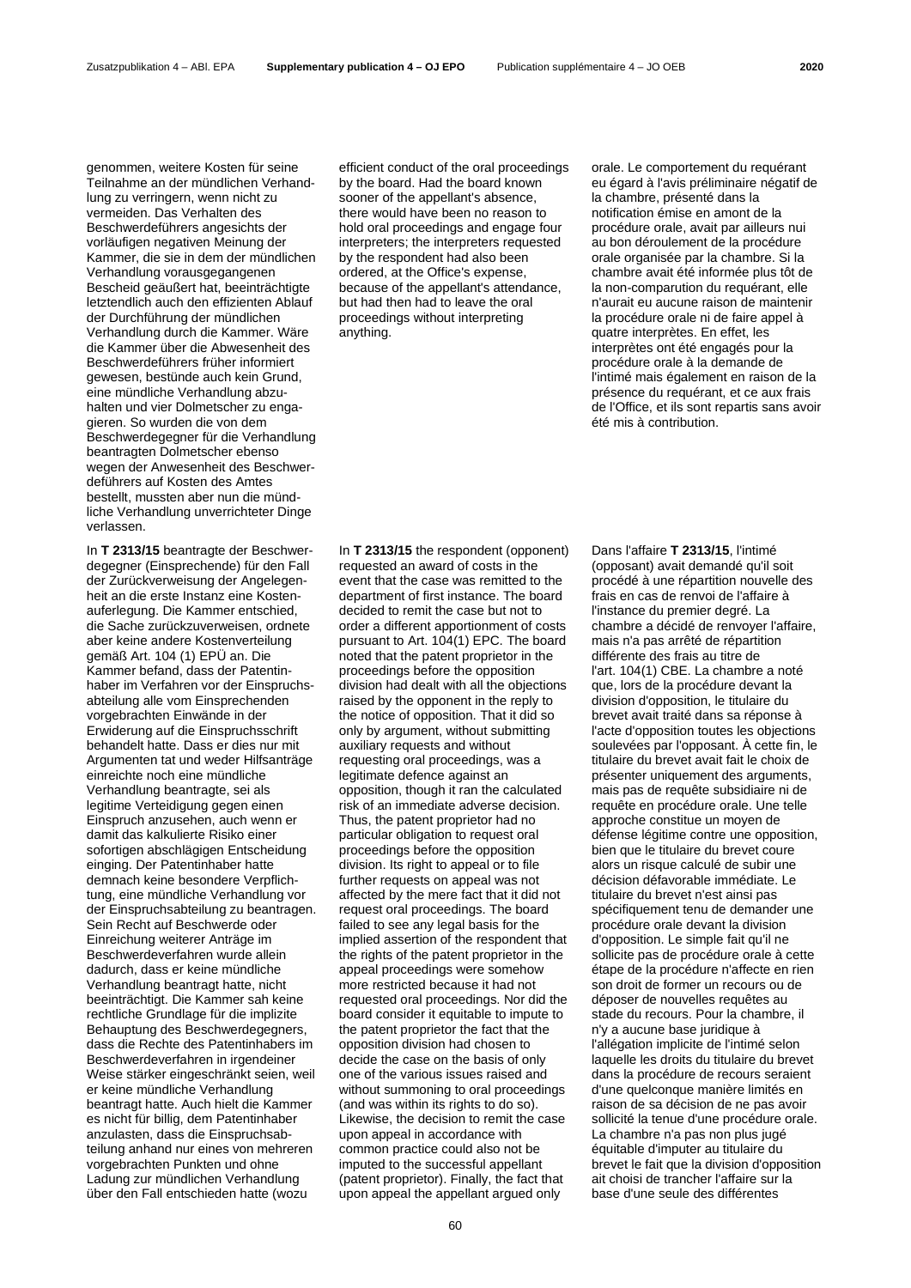genommen, weitere Kosten für seine Teilnahme an der mündlichen Verhandlung zu verringern, wenn nicht zu vermeiden. Das Verhalten des Beschwerdeführers angesichts der vorläufigen negativen Meinung der Kammer, die sie in dem der mündlichen Verhandlung vorausgegangenen Bescheid geäußert hat, beeinträchtigte letztendlich auch den effizienten Ablauf der Durchführung der mündlichen Verhandlung durch die Kammer. Wäre die Kammer über die Abwesenheit des Beschwerdeführers früher informiert gewesen, bestünde auch kein Grund, eine mündliche Verhandlung abzuhalten und vier Dolmetscher zu engagieren. So wurden die von dem Beschwerdegegner für die Verhandlung beantragten Dolmetscher ebenso wegen der Anwesenheit des Beschwerdeführers auf Kosten des Amtes bestellt, mussten aber nun die mündliche Verhandlung unverrichteter Dinge verlassen.

In **T 2313/15** beantragte der Beschwerdegegner (Einsprechende) für den Fall der Zurückverweisung der Angelegenheit an die erste Instanz eine Kostenauferlegung. Die Kammer entschied, die Sache zurückzuverweisen, ordnete aber keine andere Kostenverteilung gemäß Art. 104 (1) EPÜ an. Die Kammer befand, dass der Patentinhaber im Verfahren vor der Einspruchsabteilung alle vom Einsprechenden vorgebrachten Einwände in der Erwiderung auf die Einspruchsschrift behandelt hatte. Dass er dies nur mit Argumenten tat und weder Hilfsanträge einreichte noch eine mündliche Verhandlung beantragte, sei als legitime Verteidigung gegen einen Einspruch anzusehen, auch wenn er damit das kalkulierte Risiko einer sofortigen abschlägigen Entscheidung einging. Der Patentinhaber hatte demnach keine besondere Verpflichtung, eine mündliche Verhandlung vor der Einspruchsabteilung zu beantragen. Sein Recht auf Beschwerde oder Einreichung weiterer Anträge im Beschwerdeverfahren wurde allein dadurch, dass er keine mündliche Verhandlung beantragt hatte, nicht beeinträchtigt. Die Kammer sah keine rechtliche Grundlage für die implizite Behauptung des Beschwerdegegners, dass die Rechte des Patentinhabers im Beschwerdeverfahren in irgendeiner Weise stärker eingeschränkt seien, weil er keine mündliche Verhandlung beantragt hatte. Auch hielt die Kammer es nicht für billig, dem Patentinhaber anzulasten, dass die Einspruchsabteilung anhand nur eines von mehreren vorgebrachten Punkten und ohne Ladung zur mündlichen Verhandlung über den Fall entschieden hatte (wozu

efficient conduct of the oral proceedings by the board. Had the board known sooner of the appellant's absence. there would have been no reason to hold oral proceedings and engage four interpreters; the interpreters requested by the respondent had also been ordered, at the Office's expense, because of the appellant's attendance, but had then had to leave the oral proceedings without interpreting anything.

In **T 2313/15** the respondent (opponent) requested an award of costs in the event that the case was remitted to the department of first instance. The board decided to remit the case but not to order a different apportionment of costs pursuant to Art. 104(1) EPC. The board noted that the patent proprietor in the proceedings before the opposition division had dealt with all the objections raised by the opponent in the reply to the notice of opposition. That it did so only by argument, without submitting auxiliary requests and without requesting oral proceedings, was a legitimate defence against an opposition, though it ran the calculated risk of an immediate adverse decision. Thus, the patent proprietor had no particular obligation to request oral proceedings before the opposition division. Its right to appeal or to file further requests on appeal was not affected by the mere fact that it did not request oral proceedings. The board failed to see any legal basis for the implied assertion of the respondent that the rights of the patent proprietor in the appeal proceedings were somehow more restricted because it had not requested oral proceedings. Nor did the board consider it equitable to impute to the patent proprietor the fact that the opposition division had chosen to decide the case on the basis of only one of the various issues raised and without summoning to oral proceedings (and was within its rights to do so). Likewise, the decision to remit the case upon appeal in accordance with common practice could also not be imputed to the successful appellant (patent proprietor). Finally, the fact that upon appeal the appellant argued only

orale. Le comportement du requérant eu égard à l'avis préliminaire négatif de la chambre, présenté dans la notification émise en amont de la procédure orale, avait par ailleurs nui au bon déroulement de la procédure orale organisée par la chambre. Si la chambre avait été informée plus tôt de la non-comparution du requérant, elle n'aurait eu aucune raison de maintenir la procédure orale ni de faire appel à quatre interprètes. En effet, les interprètes ont été engagés pour la procédure orale à la demande de l'intimé mais également en raison de la présence du requérant, et ce aux frais de l'Office, et ils sont repartis sans avoir été mis à contribution.

Dans l'affaire **T 2313/15**, l'intimé (opposant) avait demandé qu'il soit procédé à une répartition nouvelle des frais en cas de renvoi de l'affaire à l'instance du premier degré. La chambre a décidé de renvoyer l'affaire, mais n'a pas arrêté de répartition différente des frais au titre de l'art. 104(1) CBE. La chambre a noté que, lors de la procédure devant la division d'opposition, le titulaire du brevet avait traité dans sa réponse à l'acte d'opposition toutes les objections soulevées par l'opposant. À cette fin, le titulaire du brevet avait fait le choix de présenter uniquement des arguments, mais pas de requête subsidiaire ni de requête en procédure orale. Une telle approche constitue un moyen de défense légitime contre une opposition, bien que le titulaire du brevet coure alors un risque calculé de subir une décision défavorable immédiate. Le titulaire du brevet n'est ainsi pas spécifiquement tenu de demander une procédure orale devant la division d'opposition. Le simple fait qu'il ne sollicite pas de procédure orale à cette étape de la procédure n'affecte en rien son droit de former un recours ou de déposer de nouvelles requêtes au stade du recours. Pour la chambre, il n'y a aucune base juridique à l'allégation implicite de l'intimé selon laquelle les droits du titulaire du brevet dans la procédure de recours seraient d'une quelconque manière limités en raison de sa décision de ne pas avoir sollicité la tenue d'une procédure orale. La chambre n'a pas non plus jugé équitable d'imputer au titulaire du brevet le fait que la division d'opposition ait choisi de trancher l'affaire sur la base d'une seule des différentes